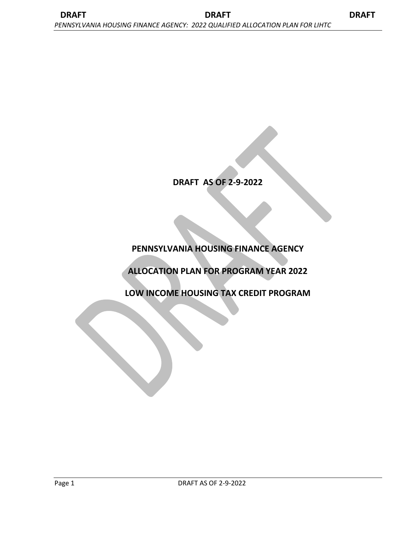# **DRAFT AS OF 2-9-2022**

# **PENNSYLVANIA HOUSING FINANCE AGENCY**

# **ALLOCATION PLAN FOR PROGRAM YEAR 2022**

**LOW INCOME HOUSING TAX CREDIT PROGRAM**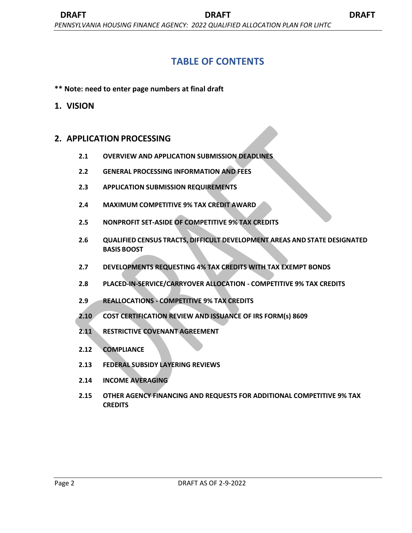# **TABLE OF CONTENTS**

**\*\* Note: need to enter page numbers at final draft**

# **1. VISION**

# **2. APPLICATION PROCESSING**

- **2.1 OVERVIEW AND APPLICATION SUBMISSION DEADLINES**
- **2.2 GENERAL PROCESSING INFORMATION AND FEES**
- **2.3 APPLICATION SUBMISSION REQUIREMENTS**
- **2.4 MAXIMUM COMPETITIVE 9% TAX CREDIT AWARD**
- **2.5 NONPROFIT SET-ASIDE OF COMPETITIVE 9% TAX CREDITS**
- **2.6 QUALIFIED CENSUS TRACTS, DIFFICULT DEVELOPMENT AREAS AND STATE DESIGNATED BASIS BOOST**
- **2.7 DEVELOPMENTS REQUESTING 4% TAX CREDITS WITH TAX EXEMPT BONDS**
- **2.8 PLACED-IN-SERVICE/CARRYOVER ALLOCATION - COMPETITIVE 9% TAX CREDITS**
- **2.9 REALLOCATIONS - COMPETITIVE 9% TAX CREDITS**
- **2.10 COST CERTIFICATION REVIEW AND ISSUANCE OF IRS FORM(s) 8609**
- **2.11 RESTRICTIVE COVENANT AGREEMENT**
- **2.12 COMPLIANCE**
- **2.13 FEDERAL SUBSIDY LAYERING REVIEWS**
- **2.14 INCOME AVERAGING**
- **2.15 OTHER AGENCY FINANCING AND REQUESTS FOR ADDITIONAL COMPETITIVE 9% TAX CREDITS**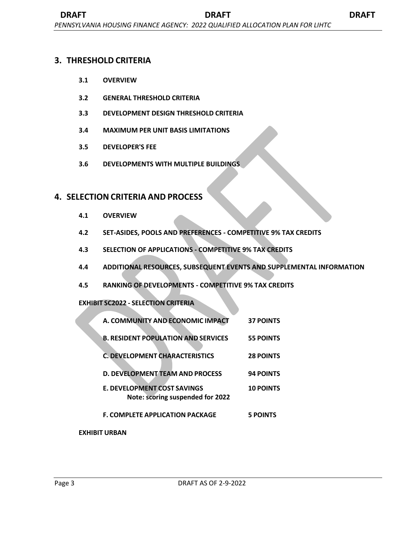# **3. THRESHOLD CRITERIA**

- **3.1 OVERVIEW**
- **3.2 GENERAL THRESHOLD CRITERIA**
- **3.3 DEVELOPMENT DESIGN THRESHOLD CRITERIA**
- **3.4 MAXIMUM PER UNIT BASIS LIMITATIONS**
- **3.5 DEVELOPER'S FEE**
- **3.6 DEVELOPMENTS WITH MULTIPLE BUILDINGS**

# **4. SELECTION CRITERIA AND PROCESS**

- **4.1 OVERVIEW**
- **4.2 SET-ASIDES, POOLS AND PREFERENCES - COMPETITIVE 9% TAX CREDITS**
- **4.3 SELECTION OF APPLICATIONS - COMPETITIVE 9% TAX CREDITS**
- **4.4 ADDITIONAL RESOURCES, SUBSEQUENT EVENTS AND SUPPLEMENTAL INFORMATION**
- **4.5 RANKING OF DEVELOPMENTS - COMPETITIVE 9% TAX CREDITS**

# **EXHIBIT SC2022 - SELECTION CRITERIA**

| A. COMMUNITY AND ECONOMIC IMPACT                                | <b>37 POINTS</b> |
|-----------------------------------------------------------------|------------------|
| <b>B. RESIDENT POPULATION AND SERVICES</b>                      | <b>55 POINTS</b> |
| C. DEVELOPMENT CHARACTERISTICS                                  | <b>28 POINTS</b> |
| <b>D. DEVELOPMENT TEAM AND PROCESS</b>                          | <b>94 POINTS</b> |
| E. DEVELOPMENT COST SAVINGS<br>Note: scoring suspended for 2022 | <b>10 POINTS</b> |
| <b>F. COMPLETE APPLICATION PACKAGE</b>                          | <b>5 POINTS</b>  |

# **EXHIBIT URBAN**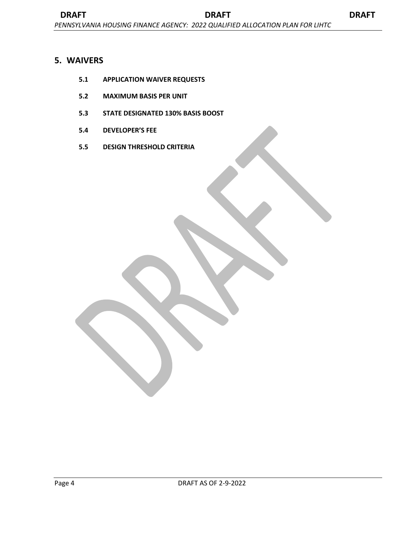# **5. WAIVERS**

- **5.1 APPLICATION WAIVER REQUESTS**
- **5.2 MAXIMUM BASIS PER UNIT**
- **5.3 STATE DESIGNATED 130% BASIS BOOST**
- **5.4 DEVELOPER'S FEE**
- **5.5 DESIGN THRESHOLD CRITERIA**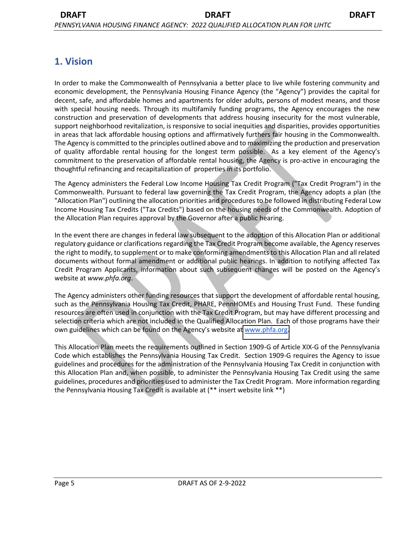# **1. Vision**

In order to make the Commonwealth of Pennsylvania a better place to live while fostering community and economic development, the Pennsylvania Housing Finance Agency (the "Agency") provides the capital for decent, safe, and affordable homes and apartments for older adults, persons of modest means, and those with special housing needs. Through its multifamily funding programs, the Agency encourages the new construction and preservation of developments that address housing insecurity for the most vulnerable, support neighborhood revitalization, is responsive to social inequities and disparities, provides opportunities in areas that lack affordable housing options and affirmatively furthers fair housing in the Commonwealth. The Agency is committed to the principles outlined above and to maximizing the production and preservation of quality affordable rental housing for the longest term possible. As a key element of the Agency's commitment to the preservation of affordable rental housing, the Agency is pro-active in encouraging the thoughtful refinancing and recapitalization of properties in its portfolio.

The Agency administers the Federal Low Income Housing Tax Credit Program ("Tax Credit Program") in the Commonwealth. Pursuant to federal law governing the Tax Credit Program, the Agency adopts a plan (the "Allocation Plan") outlining the allocation priorities and procedures to be followed in distributing Federal Low Income Housing Tax Credits ("Tax Credits") based on the housing needs of the Commonwealth. Adoption of the Allocation Plan requires approval by the Governor after a public hearing.

In the event there are changes in federal law subsequent to the adoption of this Allocation Plan or additional regulatory guidance or clarifications regarding the Tax Credit Program become available, the Agency reserves the right to modify, to supplement or to make conforming amendments to this Allocation Plan and all related documents without formal amendment or additional public hearings. In addition to notifying affected Tax Credit Program Applicants, information about such subsequent changes will be posted on the Agency's website at *www.phfa.org*.

The Agency administers other funding resources that support the development of affordable rental housing, such as the Pennsylvania Housing Tax Credit, PHARE, PennHOMEs and Housing Trust Fund. These funding resources are often used in conjunction with the Tax Credit Program, but may have different processing and selection criteria which are not included in the Qualified Allocation Plan. Each of those programs have their own guidelines which can be found on the Agency's website at [www.phfa.org.](http://www.phfa.org/)

This Allocation Plan meets the requirements outlined in Section 1909-G of Article XIX-G of the Pennsylvania Code which establishes the Pennsylvania Housing Tax Credit. Section 1909-G requires the Agency to issue guidelines and procedures for the administration of the Pennsylvania Housing Tax Credit in conjunction with this Allocation Plan and, when possible, to administer the Pennsylvania Housing Tax Credit using the same guidelines, procedures and priorities used to administer the Tax Credit Program. More information regarding the Pennsylvania Housing Tax Credit is available at (\*\* insert website link \*\*)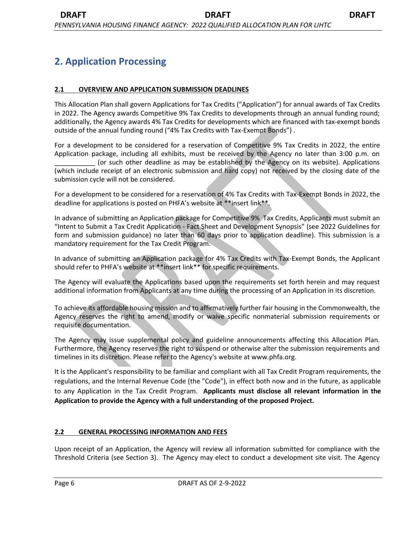# **2. Application Processing**

### **2.1 OVERVIEW AND APPLICATION SUBMISSION DEADLINES**

This Allocation Plan shall govern Applications for Tax Credits ("Application") for annual awards of Tax Credits in 2022. The Agency awards Competitive 9% Tax Credits to developments through an annual funding round; additionally, the Agency awards 4% Tax Credits for developments which are financed with tax-exempt bonds outside of the annual funding round ("4% Tax Credits with Tax-Exempt Bonds") .

For a development to be considered for a reservation of Competitive 9% Tax Credits in 2022, the entire Application package, including all exhibits, must be received by the Agency no later than 3:00 p.m. on (or such other deadline as may be established by the Agency on its website). Applications (which include receipt of an electronic submission and hard copy) not received by the closing date of the submission cycle will not be considered.

For a development to be considered for a reservation of 4% Tax Credits with Tax-Exempt Bonds in 2022, the deadline for applications is posted on PHFA's website at \*\*insert link\*\*.

In advance of submitting an Application package for Competitive 9% Tax Credits, Applicants must submit an "Intent to Submit a Tax Credit Application - Fact Sheet and Development Synopsis" (see 2022 Guidelines for form and submission guidance) no later than 60 days prior to application deadline). This submission is a mandatory requirement for the Tax Credit Program.

In advance of submitting an Application package for 4% Tax Credits with Tax-Exempt Bonds, the Applicant should refer to PHFA's website at \*\*insert link\*\* for specific requirements.

The Agency will evaluate the Applications based upon the requirements set forth herein and may request additional information from Applicants at any time during the processing of an Application in its discretion.

To achieve its affordable housing mission and to affirmatively further fair housing in the Commonwealth, the Agency reserves the right to amend, modify or waive specific nonmaterial submission requirements or requisite documentation.

The Agency may issue supplemental policy and guideline announcements affecting this Allocation Plan. Furthermore, the Agency reserves the right to suspend or otherwise alter the submission requirements and timelines in its discretion. Please refer to the Agency's website at www.phfa.org.

It is the Applicant's responsibility to be familiar and compliant with all Tax Credit Program requirements, the regulations, and the Internal Revenue Code (the "Code"), in effect both now and in the future, as applicable to any Application in the Tax Credit Program. **Applicants must disclose all relevant information in the Application to provide the Agency with a full understanding of the proposed Project.**

#### **2.2 GENERAL PROCESSING INFORMATION AND FEES**

Upon receipt of an Application, the Agency will review all information submitted for compliance with the Threshold Criteria (see Section 3). The Agency may elect to conduct a development site visit. The Agency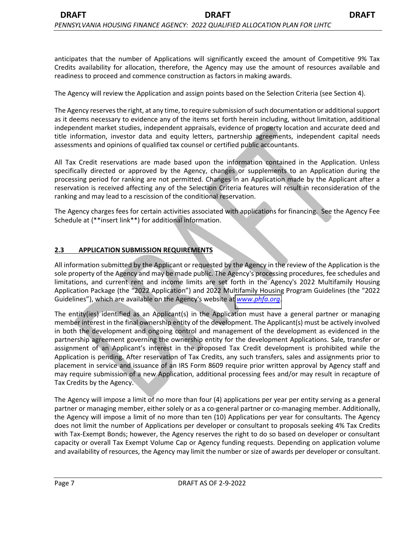anticipates that the number of Applications will significantly exceed the amount of Competitive 9% Tax Credits availability for allocation, therefore, the Agency may use the amount of resources available and readiness to proceed and commence construction as factors in making awards.

The Agency will review the Application and assign points based on the Selection Criteria (see Section 4).

The Agency reserves the right, at any time, to require submission of such documentation or additional support as it deems necessary to evidence any of the items set forth herein including, without limitation, additional independent market studies, independent appraisals, evidence of property location and accurate deed and title information, investor data and equity letters, partnership agreements, independent capital needs assessments and opinions of qualified tax counsel or certified public accountants.

All Tax Credit reservations are made based upon the information contained in the Application. Unless specifically directed or approved by the Agency, changes or supplements to an Application during the processing period for ranking are not permitted. Changes in an Application made by the Applicant after a reservation is received affecting any of the Selection Criteria features will result in reconsideration of the ranking and may lead to a rescission of the conditional reservation.

The Agency charges fees for certain activities associated with applications for financing. See the Agency Fee Schedule at (\*\*insert link\*\*) for additional information.

### **2.3 APPLICATION SUBMISSION REQUIREMENTS**

All information submitted by the Applicant or requested by the Agency in the review of the Application is the sole property of the Agency and may be made public. The Agency's processing procedures, fee schedules and limitations, and current rent and income limits are set forth in the Agency's 2022 Multifamily Housing Application Package (the "2022 Application") and 2022 Multifamily Housing Program Guidelines (the "2022 Guidelines"), which are available on the Agency's website at *[www.phfa.org](http://www.phfa.org/)*.

The entity(ies) identified as an Applicant(s) in the Application must have a general partner or managing member interest in the final ownership entity of the development. The Applicant(s) must be actively involved in both the development and ongoing control and management of the development as evidenced in the partnership agreement governing the ownership entity for the development Applications. Sale, transfer or assignment of an Applicant's interest in the proposed Tax Credit development is prohibited while the Application is pending. After reservation of Tax Credits, any such transfers, sales and assignments prior to placement in service and issuance of an IRS Form 8609 require prior written approval by Agency staff and may require submission of a new Application, additional processing fees and/or may result in recapture of Tax Credits by the Agency.

The Agency will impose a limit of no more than four (4) applications per year per entity serving as a general partner or managing member, either solely or as a co-general partner or co-managing member. Additionally, the Agency will impose a limit of no more than ten (10) Applications per year for consultants. The Agency does not limit the number of Applications per developer or consultant to proposals seeking 4% Tax Credits with Tax-Exempt Bonds; however, the Agency reserves the right to do so based on developer or consultant capacity or overall Tax Exempt Volume Cap or Agency funding requests. Depending on application volume and availability of resources, the Agency may limit the number or size of awards per developer or consultant.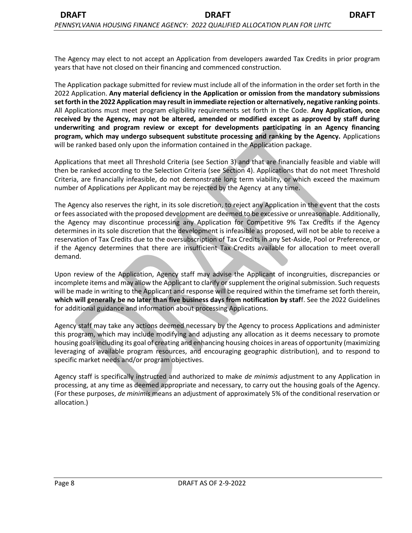The Agency may elect to not accept an Application from developers awarded Tax Credits in prior program years that have not closed on their financing and commenced construction.

The Application package submitted for review must include all of the information in the order set forth in the 2022 Application. **Any material deficiency in the Application or omission from the mandatory submissions set forth in the 2022 Application may result in immediate rejection or alternatively, negative ranking points**. All Applications must meet program eligibility requirements set forth in the Code. **Any Application, once received by the Agency, may not be altered, amended or modified except as approved by staff during underwriting and program review or except for developments participating in an Agency financing program, which may undergo subsequent substitute processing and ranking by the Agency.** Applications will be ranked based only upon the information contained in the Application package.

Applications that meet all Threshold Criteria (see Section 3) and that are financially feasible and viable will then be ranked according to the Selection Criteria (see Section 4). Applications that do not meet Threshold Criteria, are financially infeasible, do not demonstrate long term viability, or which exceed the maximum number of Applications per Applicant may be rejected by the Agency at any time.

The Agency also reserves the right, in its sole discretion, to reject any Application in the event that the costs or fees associated with the proposed development are deemed to be excessive or unreasonable. Additionally, the Agency may discontinue processing any Application for Competitive 9% Tax Credits if the Agency determines in its sole discretion that the development is infeasible as proposed, will not be able to receive a reservation of Tax Credits due to the oversubscription of Tax Credits in any Set-Aside, Pool or Preference, or if the Agency determines that there are insufficient Tax Credits available for allocation to meet overall demand.

Upon review of the Application, Agency staff may advise the Applicant of incongruities, discrepancies or incomplete items and may allow the Applicant to clarify or supplement the original submission. Such requests will be made in writing to the Applicant and response will be required within the timeframe set forth therein, **which will generally be no later than five business days from notification by staf**f. See the 2022 Guidelines for additional guidance and information about processing Applications.

Agency staff may take any actions deemed necessary by the Agency to process Applications and administer this program, which may include modifying and adjusting any allocation as it deems necessary to promote housing goals including its goal of creating and enhancing housing choices in areas of opportunity (maximizing leveraging of available program resources, and encouraging geographic distribution), and to respond to specific market needs and/or program objectives.

Agency staff is specifically instructed and authorized to make *de minimis* adjustment to any Application in processing, at any time as deemed appropriate and necessary, to carry out the housing goals of the Agency. (For these purposes, *de minimis* means an adjustment of approximately 5% of the conditional reservation or allocation.)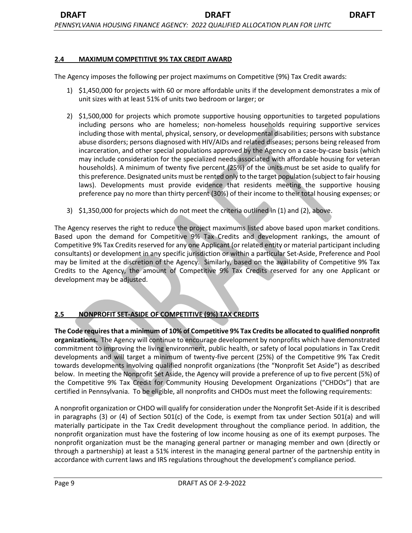#### **2.4 MAXIMUM COMPETITIVE 9% TAX CREDIT AWARD**

The Agency imposes the following per project maximums on Competitive (9%) Tax Credit awards:

- 1) \$1,450,000 for projects with 60 or more affordable units if the development demonstrates a mix of unit sizes with at least 51% of units two bedroom or larger; or
- 2) \$1,500,000 for projects which promote supportive housing opportunities to targeted populations including persons who are homeless; non-homeless households requiring supportive services including those with mental, physical, sensory, or developmental disabilities; persons with substance abuse disorders; persons diagnosed with HIV/AIDs and related diseases; persons being released from incarceration, and other special populations approved by the Agency on a case-by-case basis (which may include consideration for the specialized needs associated with affordable housing for veteran households). A minimum of twenty five percent (25%) of the units must be set aside to qualify for this preference. Designated units must be rented only to the target population (subject to fair housing laws). Developments must provide evidence that residents meeting the supportive housing preference pay no more than thirty percent (30%) of their income to their total housing expenses; or
- 3) \$1,350,000 for projects which do not meet the criteria outlined in (1) and (2), above.

The Agency reserves the right to reduce the project maximums listed above based upon market conditions. Based upon the demand for Competitive 9% Tax Credits and development rankings, the amount of Competitive 9% Tax Credits reserved for any one Applicant (or related entity or material participant including consultants) or development in any specific jurisdiction or within a particular Set-Aside, Preference and Pool may be limited at the discretion of the Agency. Similarly, based on the availability of Competitive 9% Tax Credits to the Agency, the amount of Competitive 9% Tax Credits reserved for any one Applicant or development may be adjusted.

# **2.5 NONPROFIT SET-ASIDE OF COMPETITIVE (9%) TAX CREDITS**

**The Code requires that a minimum of 10% of Competitive 9% Tax Credits be allocated to qualified nonprofit organizations.** The Agency will continue to encourage development by nonprofits which have demonstrated commitment to improving the living environment, public health, or safety of local populations in Tax Credit developments and will target a minimum of twenty-five percent (25%) of the Competitive 9% Tax Credit towards developments involving qualified nonprofit organizations (the "Nonprofit Set Aside") as described below. In meeting the Nonprofit Set Aside, the Agency will provide a preference of up to five percent (5%) of the Competitive 9% Tax Credit for Community Housing Development Organizations ("CHDOs") that are certified in Pennsylvania. To be eligible, all nonprofits and CHDOs must meet the following requirements:

A nonprofit organization or CHDO will qualify for consideration under the Nonprofit Set-Aside if it is described in paragraphs (3) or (4) of Section 501(c) of the Code, is exempt from tax under Section 501(a) and will materially participate in the Tax Credit development throughout the compliance period. In addition, the nonprofit organization must have the fostering of low income housing as one of its exempt purposes. The nonprofit organization must be the managing general partner or managing member and own (directly or through a partnership) at least a 51% interest in the managing general partner of the partnership entity in accordance with current laws and IRS regulations throughout the development's compliance period.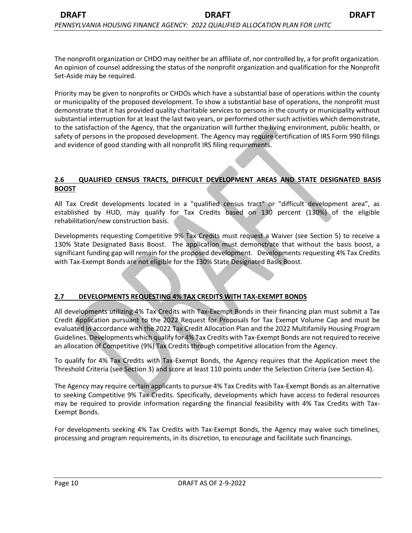The nonprofit organization or CHDO may neither be an affiliate of, nor controlled by, a for profit organization. An opinion of counsel addressing the status of the nonprofit organization and qualification for the Nonprofit Set-Aside may be required.

Priority may be given to nonprofits or CHDOs which have a substantial base of operations within the county or municipality of the proposed development. To show a substantial base of operations, the nonprofit must demonstrate that it has provided quality charitable services to persons in the county or municipality without substantial interruption for at least the last two years, or performed other such activities which demonstrate, to the satisfaction of the Agency, that the organization will further the living environment, public health, or safety of persons in the proposed development. The Agency may require certification of IRS Form 990 filings and evidence of good standing with all nonprofit IRS filing requirements.

#### **2.6 QUALIFIED CENSUS TRACTS, DIFFICULT DEVELOPMENT AREAS AND STATE DESIGNATED BASIS BOOST**

All Tax Credit developments located in a "qualified census tract" or "difficult development area", as established by HUD, may qualify for Tax Credits based on 130 percent (130%) of the eligible rehabilitation/new construction basis.

Developments requesting Competitive 9% Tax Credits must request a Waiver (see Section 5) to receive a 130% State Designated Basis Boost. The application must demonstrate that without the basis boost, a significant funding gap will remain for the proposed development. Developments requesting 4% Tax Credits with Tax-Exempt Bonds are not eligible for the 130% State Designated Basis Boost.

# **2.7 DEVELOPMENTS REQUESTING 4% TAX CREDITS WITH TAX-EXEMPT BONDS**

All developments utilizing 4% Tax Credits with Tax-Exempt Bonds in their financing plan must submit a Tax Credit Application pursuant to the 2022 Request for Proposals for Tax Exempt Volume Cap and must be evaluated in accordance with the 2022 Tax Credit Allocation Plan and the 2022 Multifamily Housing Program Guidelines. Developments which qualify for 4% Tax Credits with Tax-Exempt Bonds are not required to receive an allocation of Competitive (9%) Tax Credits through competitive allocation from the Agency.

To qualify for 4% Tax Credits with Tax-Exempt Bonds, the Agency requires that the Application meet the Threshold Criteria (see Section 3) and score at least 110 points under the Selection Criteria (see Section 4).

The Agency may require certain applicants to pursue 4% Tax Credits with Tax-Exempt Bonds as an alternative to seeking Competitive 9% Tax Credits. Specifically, developments which have access to federal resources may be required to provide information regarding the financial feasibility with 4% Tax Credits with Tax-Exempt Bonds.

For developments seeking 4% Tax Credits with Tax-Exempt Bonds, the Agency may waive such timelines, processing and program requirements, in its discretion, to encourage and facilitate such financings.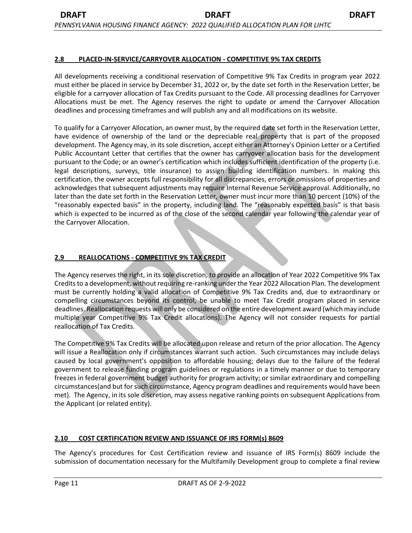#### **2.8 PLACED-IN-SERVICE/CARRYOVER ALLOCATION - COMPETITIVE 9% TAX CREDITS**

All developments receiving a conditional reservation of Competitive 9% Tax Credits in program year 2022 must either be placed in service by December 31, 2022 or, by the date set forth in the Reservation Letter, be eligible for a carryover allocation of Tax Credits pursuant to the Code. All processing deadlines for Carryover Allocations must be met. The Agency reserves the right to update or amend the Carryover Allocation deadlines and processing timeframes and will publish any and all modifications on its website.

To qualify for a Carryover Allocation, an owner must, by the required date set forth in the Reservation Letter, have evidence of ownership of the land or the depreciable real property that is part of the proposed development. The Agency may, in its sole discretion, accept either an Attorney's Opinion Letter or a Certified Public Accountant Letter that certifies that the owner has carryover allocation basis for the development pursuant to the Code; or an owner's certification which includes sufficient identification of the property (i.e. legal descriptions, surveys, title insurance) to assign building identification numbers. In making this certification, the owner accepts full responsibility for all discrepancies, errors or omissions of properties and acknowledges that subsequent adjustments may require Internal Revenue Service approval. Additionally, no later than the date set forth in the Reservation Letter, owner must incur more than 10 percent (10%) of the "reasonably expected basis" in the property, including land. The "reasonably expected basis" is that basis which is expected to be incurred as of the close of the second calendar year following the calendar year of the Carryover Allocation.

# **2.9 REALLOCATIONS - COMPETITIVE 9% TAX CREDIT**

The Agency reserves the right, in its sole discretion, to provide an allocation of Year 2022 Competitive 9% Tax Credits to a development, without requiring re-ranking under the Year 2022 Allocation Plan. The development must be currently holding a valid allocation of Competitive 9% Tax Credits and, due to extraordinary or compelling circumstances beyond its control, be unable to meet Tax Credit program placed in service deadlines. Reallocation requests will only be considered on the entire development award (which may include multiple year Competitive 9% Tax Credit allocations). The Agency will not consider requests for partial reallocation of Tax Credits.

The Competitive 9% Tax Credits will be allocated upon release and return of the prior allocation. The Agency will issue a Reallocation only if circumstances warrant such action. Such circumstances may include delays caused by local government's opposition to affordable housing; delays due to the failure of the federal government to release funding program guidelines or regulations in a timely manner or due to temporary freezes in federal government budget authority for program activity; or similar extraordinary and compelling circumstances(and but for such circumstance, Agency program deadlines and requirements would have been met). The Agency, in its sole discretion, may assess negative ranking points on subsequent Applications from the Applicant (or related entity).

# **2.10 COST CERTIFICATION REVIEW AND ISSUANCE OF IRS FORM(s) 8609**

The Agency's procedures for Cost Certification review and issuance of IRS Form(s) 8609 include the submission of documentation necessary for the Multifamily Development group to complete a final review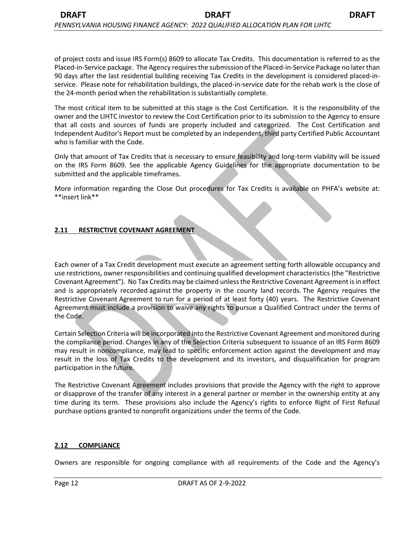of project costs and issue IRS Form(s) 8609 to allocate Tax Credits. This documentation is referred to as the Placed-in-Service package. The Agency requires the submission of the Placed-in-Service Package no later than 90 days after the last residential building receiving Tax Credits in the development is considered placed-inservice. Please note for rehabilitation buildings, the placed-in-service date for the rehab work is the close of the 24-month period when the rehabilitation is substantially complete.

The most critical item to be submitted at this stage is the Cost Certification. It is the responsibility of the owner and the LIHTC investor to review the Cost Certification prior to its submission to the Agency to ensure that all costs and sources of funds are properly included and categorized. The Cost Certification and Independent Auditor's Report must be completed by an independent, third party Certified Public Accountant who is familiar with the Code.

Only that amount of Tax Credits that is necessary to ensure feasibility and long-term viability will be issued on the IRS Form 8609. See the applicable Agency Guidelines for the appropriate documentation to be submitted and the applicable timeframes.

More information regarding the Close Out procedures for Tax Credits is available on PHFA's website at: \*\*insert link\*\*

### **2.11 RESTRICTIVE COVENANT AGREEMENT**

Each owner of a Tax Credit development must execute an agreement setting forth allowable occupancy and use restrictions, owner responsibilities and continuing qualified development characteristics (the "Restrictive Covenant Agreement"). No Tax Credits may be claimed unlessthe Restrictive Covenant Agreement isin effect and is appropriately recorded against the property in the county land records. The Agency requires the Restrictive Covenant Agreement to run for a period of at least forty (40) years. The Restrictive Covenant Agreement must include a provision to waive any rights to pursue a Qualified Contract under the terms of the Code.

Certain Selection Criteria will be incorporated into the Restrictive Covenant Agreement and monitored during the compliance period. Changes in any of the Selection Criteria subsequent to issuance of an IRS Form 8609 may result in noncompliance, may lead to specific enforcement action against the development and may result in the loss of Tax Credits to the development and its investors, and disqualification for program participation in the future.

The Restrictive Covenant Agreement includes provisions that provide the Agency with the right to approve or disapprove of the transfer of any interest in a general partner or member in the ownership entity at any time during its term. These provisions also include the Agency's rights to enforce Right of First Refusal purchase options granted to nonprofit organizations under the terms of the Code.

#### **2.12 COMPLIANCE**

Owners are responsible for ongoing compliance with all requirements of the Code and the Agency's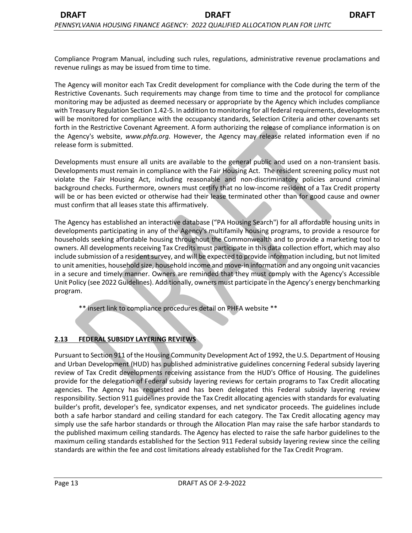Compliance Program Manual, including such rules, regulations, administrative revenue proclamations and revenue rulings as may be issued from time to time.

The Agency will monitor each Tax Credit development for compliance with the Code during the term of the Restrictive Covenants. Such requirements may change from time to time and the protocol for compliance monitoring may be adjusted as deemed necessary or appropriate by the Agency which includes compliance with Treasury Regulation Section 1.42-5. In addition to monitoring for all federal requirements, developments will be monitored for compliance with the occupancy standards, Selection Criteria and other covenants set forth in the Restrictive Covenant Agreement. A form authorizing the release of compliance information is on the Agency's website, *www.phfa.org.* However, the Agency may release related information even if no release form is submitted.

Developments must ensure all units are available to the general public and used on a non-transient basis. Developments must remain in compliance with the Fair Housing Act. The resident screening policy must not violate the Fair Housing Act, including reasonable and non-discriminatory policies around criminal background checks. Furthermore, owners must certify that no low-income resident of a Tax Credit property will be or has been evicted or otherwise had their lease terminated other than for good cause and owner must confirm that all leases state this affirmatively.

The Agency has established an interactive database ("PA Housing Search") for all affordable housing units in developments participating in any of the Agency's multifamily housing programs, to provide a resource for households seeking affordable housing throughout the Commonwealth and to provide a marketing tool to owners. All developments receiving Tax Credits must participate in this data collection effort, which may also include submission of a resident survey, and will be expected to provide information including, but not limited to unit amenities, household size, household income and move-in information and any ongoing unit vacancies in a secure and timely manner. Owners are reminded that they must comply with the Agency's Accessible Unit Policy (see 2022 Guidelines). Additionally, owners must participate in the Agency's energy benchmarking program.

\*\* insert link to compliance procedures detail on PHFA website \*\*

# **2.13 FEDERAL SUBSIDY LAYERING REVIEWS**

Pursuant to Section 911 of the Housing Community Development Act of 1992, the U.S. Department of Housing and Urban Development (HUD) has published administrative guidelines concerning Federal subsidy layering review of Tax Credit developments receiving assistance from the HUD's Office of Housing. The guidelines provide for the delegation of Federal subsidy layering reviews for certain programs to Tax Credit allocating agencies. The Agency has requested and has been delegated this Federal subsidy layering review responsibility. Section 911 guidelines provide the Tax Credit allocating agencies with standards for evaluating builder's profit, developer's fee, syndicator expenses, and net syndicator proceeds. The guidelines include both a safe harbor standard and ceiling standard for each category. The Tax Credit allocating agency may simply use the safe harbor standards or through the Allocation Plan may raise the safe harbor standards to the published maximum ceiling standards. The Agency has elected to raise the safe harbor guidelines to the maximum ceiling standards established for the Section 911 Federal subsidy layering review since the ceiling standards are within the fee and cost limitations already established for the Tax Credit Program.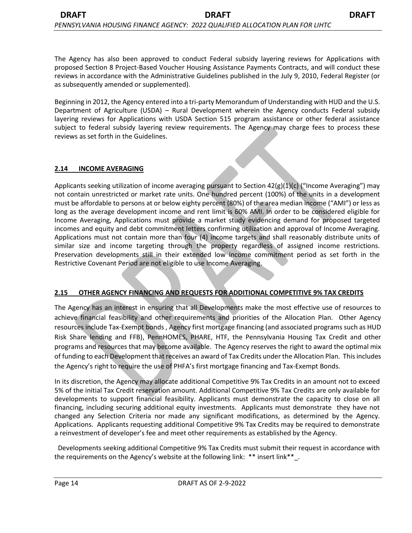Beginning in 2012, the Agency entered into a tri-party Memorandum of Understanding with HUD and the U.S. Department of Agriculture (USDA) – Rural Development wherein the Agency conducts Federal subsidy layering reviews for Applications with USDA Section 515 program assistance or other federal assistance subject to federal subsidy layering review requirements. The Agency may charge fees to process these reviews as set forth in the Guidelines.

# **2.14 INCOME AVERAGING**

Applicants seeking utilization of income averaging pursuant to Section  $42(g)(1)(c)$  ("Income Averaging") may not contain unrestricted or market rate units. One hundred percent (100%) of the units in a development must be affordable to persons at or below eighty percent (80%) of the area median income ("AMI") or less as long as the average development income and rent limit is 60% AMI. In order to be considered eligible for Income Averaging, Applications must provide a market study evidencing demand for proposed targeted incomes and equity and debt commitment letters confirming utilization and approval of Income Averaging. Applications must not contain more than four (4) income targets and shall reasonably distribute units of similar size and income targeting through the property regardless of assigned income restrictions. Preservation developments still in their extended low income commitment period as set forth in the Restrictive Covenant Period are not eligible to use Income Averaging.

# **2.15 OTHER AGENCY FINANCING AND REQUESTS FOR ADDITIONAL COMPETITIVE 9% TAX CREDITS**

The Agency has an interest in ensuring that all Developments make the most effective use of resources to achieve financial feasibility and other requirements and priorities of the Allocation Plan. Other Agency resources include Tax-Exempt bonds , Agency first mortgage financing (and associated programs such as HUD Risk Share lending and FFB), PennHOMES, PHARE, HTF, the Pennsylvania Housing Tax Credit and other programs and resources that may become available. The Agency reserves the right to award the optimal mix of funding to each Development that receives an award of Tax Credits under the Allocation Plan. This includes the Agency's right to require the use of PHFA's first mortgage financing and Tax-Exempt Bonds.

In its discretion, the Agency may allocate additional Competitive 9% Tax Credits in an amount not to exceed 5% of the initial Tax Credit reservation amount. Additional Competitive 9% Tax Credits are only available for developments to support financial feasibility. Applicants must demonstrate the capacity to close on all financing, including securing additional equity investments. Applicants must demonstrate they have not changed any Selection Criteria nor made any significant modifications, as determined by the Agency. Applications. Applicants requesting additional Competitive 9% Tax Credits may be required to demonstrate a reinvestment of developer's fee and meet other requirements as established by the Agency.

Developments seeking additional Competitive 9% Tax Credits must submit their request in accordance with the requirements on the Agency's website at the following link: \*\* insert link\*\*\_.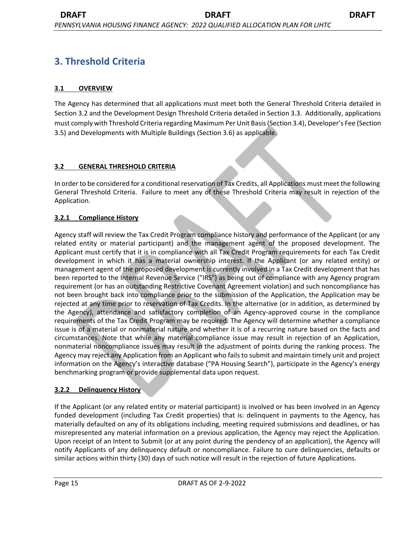# **3. Threshold Criteria**

# **3.1 OVERVIEW**

The Agency has determined that all applications must meet both the General Threshold Criteria detailed in Section 3.2 and the Development Design Threshold Criteria detailed in Section 3.3. Additionally, applications must comply with Threshold Criteria regarding Maximum Per Unit Basis (Section 3.4), Developer's Fee (Section 3.5) and Developments with Multiple Buildings (Section 3.6) as applicable.

# **3.2 GENERAL THRESHOLD CRITERIA**

In order to be considered for a conditional reservation of Tax Credits, all Applications must meet the following General Threshold Criteria. Failure to meet any of these Threshold Criteria may result in rejection of the Application.

# **3.2.1 Compliance History**

Agency staff will review the Tax Credit Program compliance history and performance of the Applicant (or any related entity or material participant) and the management agent of the proposed development. The Applicant must certify that it is in compliance with all Tax Credit Program requirements for each Tax Credit development in which it has a material ownership interest. If the Applicant (or any related entity) or management agent of the proposed development is currently involved in a Tax Credit development that has been reported to the Internal Revenue Service ("IRS") as being out of compliance with any Agency program requirement (or has an outstanding Restrictive Covenant Agreement violation) and such noncompliance has not been brought back into compliance prior to the submission of the Application, the Application may be rejected at any time prior to reservation of Tax Credits. In the alternative (or in addition, as determined by the Agency), attendance and satisfactory completion of an Agency-approved course in the compliance requirements of the Tax Credit Program may be required. The Agency will determine whether a compliance issue is of a material or nonmaterial nature and whether it is of a recurring nature based on the facts and circumstances. Note that while any material compliance issue may result in rejection of an Application, nonmaterial noncompliance issues may result in the adjustment of points during the ranking process. The Agency may reject any Application from an Applicant who fails to submit and maintain timely unit and project information on the Agency's interactive database ("PA Housing Search"), participate in the Agency's energy benchmarking program or provide supplemental data upon request.

# **3.2.2 Delinquency History**

If the Applicant (or any related entity or material participant) is involved or has been involved in an Agency funded development (including Tax Credit properties) that is: delinquent in payments to the Agency, has materially defaulted on any of its obligations including, meeting required submissions and deadlines, or has misrepresented any material information on a previous application, the Agency may reject the Application. Upon receipt of an Intent to Submit (or at any point during the pendency of an application), the Agency will notify Applicants of any delinquency default or noncompliance. Failure to cure delinquencies, defaults or similar actions within thirty (30) days of such notice will result in the rejection of future Applications.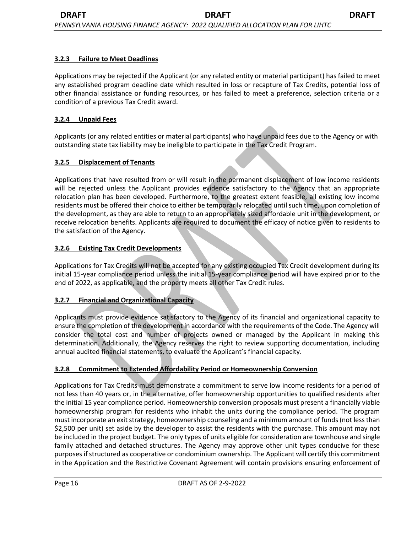## **3.2.3 Failure to Meet Deadlines**

Applications may be rejected if the Applicant (or any related entity or material participant) has failed to meet any established program deadline date which resulted in loss or recapture of Tax Credits, potential loss of other financial assistance or funding resources, or has failed to meet a preference, selection criteria or a condition of a previous Tax Credit award.

#### **3.2.4 Unpaid Fees**

Applicants (or any related entities or material participants) who have unpaid fees due to the Agency or with outstanding state tax liability may be ineligible to participate in the Tax Credit Program.

#### **3.2.5 Displacement of Tenants**

Applications that have resulted from or will result in the permanent displacement of low income residents will be rejected unless the Applicant provides evidence satisfactory to the Agency that an appropriate relocation plan has been developed. Furthermore, to the greatest extent feasible, all existing low income residents must be offered their choice to either be temporarily relocated until such time, upon completion of the development, as they are able to return to an appropriately sized affordable unit in the development, or receive relocation benefits. Applicants are required to document the efficacy of notice given to residents to the satisfaction of the Agency.

#### **3.2.6 Existing Tax Credit Developments**

Applications for Tax Credits will not be accepted for any existing occupied Tax Credit development during its initial 15-year compliance period unless the initial 15-year compliance period will have expired prior to the end of 2022, as applicable, and the property meets all other Tax Credit rules.

#### **3.2.7 Financial and Organizational Capacity**

Applicants must provide evidence satisfactory to the Agency of its financial and organizational capacity to ensure the completion of the development in accordance with the requirements of the Code. The Agency will consider the total cost and number of projects owned or managed by the Applicant in making this determination. Additionally, the Agency reserves the right to review supporting documentation, including annual audited financial statements, to evaluate the Applicant's financial capacity.

#### **3.2.8 Commitment to Extended Affordability Period or Homeownership Conversion**

Applications for Tax Credits must demonstrate a commitment to serve low income residents for a period of not less than 40 years or, in the alternative, offer homeownership opportunities to qualified residents after the initial 15 year compliance period. Homeownership conversion proposals must present a financially viable homeownership program for residents who inhabit the units during the compliance period. The program must incorporate an exit strategy, homeownership counseling and a minimum amount of funds (not less than \$2,500 per unit) set aside by the developer to assist the residents with the purchase. This amount may not be included in the project budget. The only types of units eligible for consideration are townhouse and single family attached and detached structures. The Agency may approve other unit types conducive for these purposes if structured as cooperative or condominium ownership. The Applicant will certify this commitment in the Application and the Restrictive Covenant Agreement will contain provisions ensuring enforcement of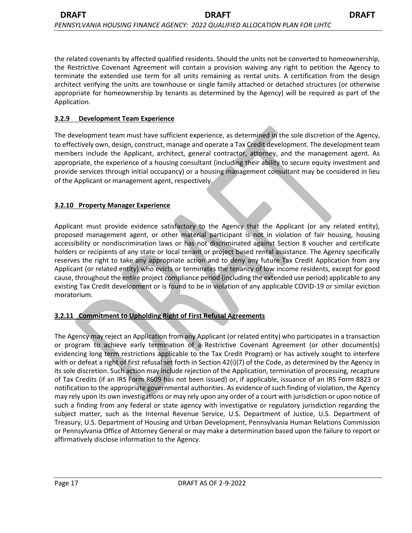the related covenants by affected qualified residents. Should the units not be converted to homeownership, the Restrictive Covenant Agreement will contain a provision waiving any right to petition the Agency to terminate the extended use term for all units remaining as rental units. A certification from the design architect verifying the units are townhouse or single family attached or detached structures (or otherwise appropriate for homeownership by tenants as determined by the Agency) will be required as part of the Application.

## **3.2.9 Development Team Experience**

The development team must have sufficient experience, as determined in the sole discretion of the Agency, to effectively own, design, construct, manage and operate a Tax Credit development. The development team members include the Applicant, architect, general contractor, attorney, and the management agent. As appropriate, the experience of a housing consultant (including their ability to secure equity investment and provide services through initial occupancy) or a housing management consultant may be considered in lieu of the Applicant or management agent, respectively.

### **3.2.10 Property Manager Experience**

Applicant must provide evidence satisfactory to the Agency that the Applicant (or any related entity), proposed management agent, or other material participant is not in violation of fair housing, housing accessibility or nondiscrimination laws or has not discriminated against Section 8 voucher and certificate holders or recipients of any state or local tenant or project based rental assistance. The Agency specifically reserves the right to take any appropriate action and to deny any future Tax Credit Application from any Applicant (or related entity) who evicts or terminates the tenancy of low income residents, except for good cause, throughout the entire project compliance period (including the extended use period) applicable to any existing Tax Credit development or is found to be in violation of any applicable COVID-19 or similar eviction moratorium.

# **3.2.11 Commitment to Upholding Right of First Refusal Agreements**

The Agency may reject an Application from any Applicant (or related entity) who participates in a transaction or program to achieve early termination of a Restrictive Covenant Agreement (or other document(s) evidencing long term restrictions applicable to the Tax Credit Program) or has actively sought to interfere with or defeat a right of first refusal set forth in Section 42(i)(7) of the Code, as determined by the Agency in its sole discretion. Such action may include rejection of the Application, termination of processing, recapture of Tax Credits (if an IRS Form 8609 has not been issued) or, if applicable, issuance of an IRS Form 8823 or notification to the appropriate governmental authorities. As evidence of such finding of violation, the Agency may rely upon its own investigations or may rely upon any order of a court with jurisdiction or upon notice of such a finding from any federal or state agency with investigative or regulatory jurisdiction regarding the subject matter, such as the Internal Revenue Service, U.S. Department of Justice, U.S. Department of Treasury, U.S. Department of Housing and Urban Development, Pennsylvania Human Relations Commission or Pennsylvania Office of Attorney General or may make a determination based upon the failure to report or affirmatively disclose information to the Agency.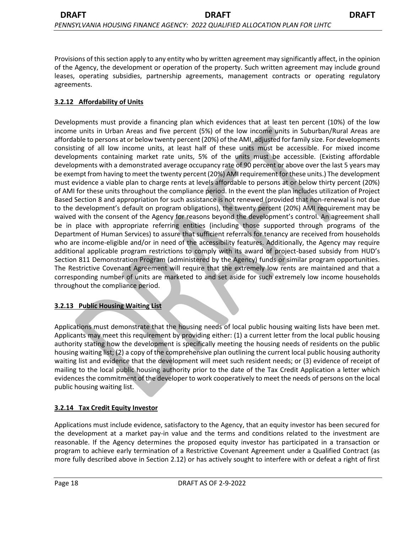Provisions of this section apply to any entity who by written agreement may significantly affect, in the opinion of the Agency, the development or operation of the property. Such written agreement may include ground leases, operating subsidies, partnership agreements, management contracts or operating regulatory agreements.

# **3.2.12 Affordability of Units**

Developments must provide a financing plan which evidences that at least ten percent (10%) of the low income units in Urban Areas and five percent (5%) of the low income units in Suburban/Rural Areas are affordable to persons at or below twenty percent (20%) of the AMI, adjusted for family size. For developments consisting of all low income units, at least half of these units must be accessible. For mixed income developments containing market rate units, 5% of the units must be accessible. (Existing affordable developments with a demonstrated average occupancy rate of 90 percent or above over the last 5 years may be exempt from having to meet the twenty percent (20%) AMI requirement for these units.) The development must evidence a viable plan to charge rents at levels affordable to persons at or below thirty percent (20%) of AMI for these units throughout the compliance period. In the event the plan includes utilization of Project Based Section 8 and appropriation for such assistance is not renewed (provided that non-renewal is not due to the development's default on program obligations), the twenty percent (20%) AMI requirement may be waived with the consent of the Agency for reasons beyond the development's control. An agreement shall be in place with appropriate referring entities (including those supported through programs of the Department of Human Services) to assure that sufficient referrals for tenancy are received from households who are income-eligible and/or in need of the accessibility features. Additionally, the Agency may require additional applicable program restrictions to comply with its award of project-based subsidy from HUD's Section 811 Demonstration Program (administered by the Agency) funds or similar program opportunities. The Restrictive Covenant Agreement will require that the extremely low rents are maintained and that a corresponding number of units are marketed to and set aside for such extremely low income households throughout the compliance period.

# **3.2.13 Public Housing Waiting List**

Applications must demonstrate that the housing needs of local public housing waiting lists have been met. Applicants may meet this requirement by providing either: (1) a current letter from the local public housing authority stating how the development is specifically meeting the housing needs of residents on the public housing waiting list; (2) a copy of the comprehensive plan outlining the current local public housing authority waiting list and evidence that the development will meet such resident needs; or (3) evidence of receipt of mailing to the local public housing authority prior to the date of the Tax Credit Application a letter which evidences the commitment of the developer to work cooperatively to meet the needs of persons on the local public housing waiting list.

# **3.2.14 Tax Credit Equity Investor**

Applications must include evidence, satisfactory to the Agency, that an equity investor has been secured for the development at a market pay-in value and the terms and conditions related to the investment are reasonable. If the Agency determines the proposed equity investor has participated in a transaction or program to achieve early termination of a Restrictive Covenant Agreement under a Qualified Contract (as more fully described above in Section 2.12) or has actively sought to interfere with or defeat a right of first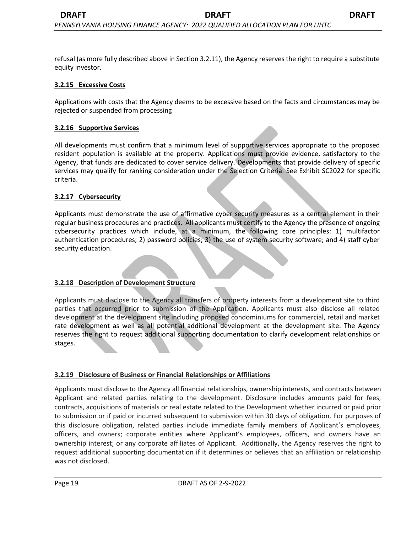refusal (as more fully described above in Section 3.2.11), the Agency reserves the right to require a substitute equity investor.

#### **3.2.15 Excessive Costs**

Applications with costs that the Agency deems to be excessive based on the facts and circumstances may be rejected or suspended from processing

#### **3.2.16 Supportive Services**

All developments must confirm that a minimum level of supportive services appropriate to the proposed resident population is available at the property. Applications must provide evidence, satisfactory to the Agency, that funds are dedicated to cover service delivery. Developments that provide delivery of specific services may qualify for ranking consideration under the Selection Criteria. See Exhibit SC2022 for specific criteria.

#### **3.2.17 Cybersecurity**

Applicants must demonstrate the use of affirmative cyber security measures as a central element in their regular business procedures and practices. All applicants must certify to the Agency the presence of ongoing cybersecurity practices which include, at a minimum, the following core principles: 1) multifactor authentication procedures; 2) password policies; 3) the use of system security software; and 4) staff cyber security education.

#### **3.2.18 Description of Development Structure**

Applicants must disclose to the Agency all transfers of property interests from a development site to third parties that occurred prior to submission of the Application. Applicants must also disclose all related development at the development site including proposed condominiums for commercial, retail and market rate development as well as all potential additional development at the development site. The Agency reserves the right to request additional supporting documentation to clarify development relationships or stages.

#### **3.2.19 Disclosure of Business or Financial Relationships or Affiliations**

Applicants must disclose to the Agency all financial relationships, ownership interests, and contracts between Applicant and related parties relating to the development. Disclosure includes amounts paid for fees, contracts, acquisitions of materials or real estate related to the Development whether incurred or paid prior to submission or if paid or incurred subsequent to submission within 30 days of obligation. For purposes of this disclosure obligation, related parties include immediate family members of Applicant's employees, officers, and owners; corporate entities where Applicant's employees, officers, and owners have an ownership interest; or any corporate affiliates of Applicant. Additionally, the Agency reserves the right to request additional supporting documentation if it determines or believes that an affiliation or relationship was not disclosed.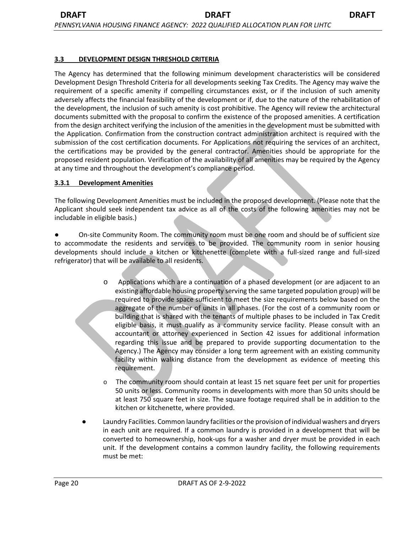The Agency has determined that the following minimum development characteristics will be considered Development Design Threshold Criteria for all developments seeking Tax Credits. The Agency may waive the requirement of a specific amenity if compelling circumstances exist, or if the inclusion of such amenity adversely affects the financial feasibility of the development or if, due to the nature of the rehabilitation of the development, the inclusion of such amenity is cost prohibitive. The Agency will review the architectural documents submitted with the proposal to confirm the existence of the proposed amenities. A certification from the design architect verifying the inclusion of the amenities in the development must be submitted with the Application. Confirmation from the construction contract administration architect is required with the submission of the cost certification documents. For Applications not requiring the services of an architect, the certifications may be provided by the general contractor. Amenities should be appropriate for the proposed resident population. Verification of the availability of all amenities may be required by the Agency at any time and throughout the development's compliance period.

#### **3.3.1 Development Amenities**

The following Development Amenities must be included in the proposed development. (Please note that the Applicant should seek independent tax advice as all of the costs of the following amenities may not be includable in eligible basis.)

● On-site Community Room. The community room must be one room and should be of sufficient size to accommodate the residents and services to be provided. The community room in senior housing developments should include a kitchen or kitchenette (complete with a full-sized range and full-sized refrigerator) that will be available to all residents.

- Applications which are a continuation of a phased development (or are adjacent to an existing affordable housing property serving the same targeted population group) will be required to provide space sufficient to meet the size requirements below based on the aggregate of the number of units in all phases. (For the cost of a community room or building that is shared with the tenants of multiple phases to be included in Tax Credit eligible basis, it must qualify as a community service facility. Please consult with an accountant or attorney experienced in Section 42 issues for additional information regarding this issue and be prepared to provide supporting documentation to the Agency.) The Agency may consider a long term agreement with an existing community facility within walking distance from the development as evidence of meeting this requirement.
- o The community room should contain at least 15 net square feet per unit for properties 50 units or less. Community rooms in developments with more than 50 units should be at least 750 square feet in size. The square footage required shall be in addition to the kitchen or kitchenette, where provided.
- Laundry Facilities. Common laundry facilities or the provision of individual washers and dryers in each unit are required. If a common laundry is provided in a development that will be converted to homeownership, hook-ups for a washer and dryer must be provided in each unit. If the development contains a common laundry facility, the following requirements must be met: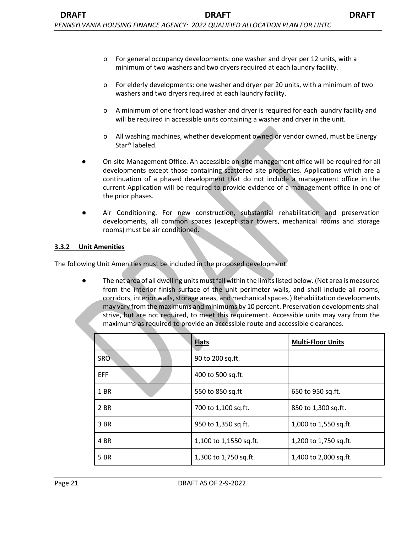- o For general occupancy developments: one washer and dryer per 12 units, with a minimum of two washers and two dryers required at each laundry facility.
- o For elderly developments: one washer and dryer per 20 units, with a minimum of two washers and two dryers required at each laundry facility.
- o A minimum of one front load washer and dryer is required for each laundry facility and will be required in accessible units containing a washer and dryer in the unit.
- o All washing machines, whether development owned or vendor owned, must be Energy Star® labeled.
- On-site Management Office. An accessible on-site management office will be required for all developments except those containing scattered site properties. Applications which are a continuation of a phased development that do not include a management office in the current Application will be required to provide evidence of a management office in one of the prior phases.
- Air Conditioning. For new construction, substantial rehabilitation and preservation developments, all common spaces (except stair towers, mechanical rooms and storage rooms) must be air conditioned.

#### **3.3.2 Unit Amenities**

The following Unit Amenities must be included in the proposed development.

The net area of all dwelling units must fall within the limits listed below. (Net area is measured from the interior finish surface of the unit perimeter walls, and shall include all rooms, corridors, interior walls, storage areas, and mechanical spaces.) Rehabilitation developments may vary from the maximums and minimums by 10 percent. Preservation developments shall strive, but are not required, to meet this requirement. Accessible units may vary from the maximums as required to provide an accessible route and accessible clearances.

|      | <b>Flats</b>           | <b>Multi-Floor Units</b> |
|------|------------------------|--------------------------|
| SRO- | 90 to 200 sq.ft.       |                          |
| EFF  | 400 to 500 sq.ft.      |                          |
| 1 BR | 550 to 850 sq.ft       | 650 to 950 sq.ft.        |
| 2 BR | 700 to 1,100 sq.ft.    | 850 to 1,300 sq.ft.      |
| 3 BR | 950 to 1,350 sq.ft.    | 1,000 to 1,550 sq.ft.    |
| 4 BR | 1,100 to 1,1550 sq.ft. | 1,200 to 1,750 sq.ft.    |
| 5 BR | 1,300 to 1,750 sq.ft.  | 1,400 to 2,000 sq.ft.    |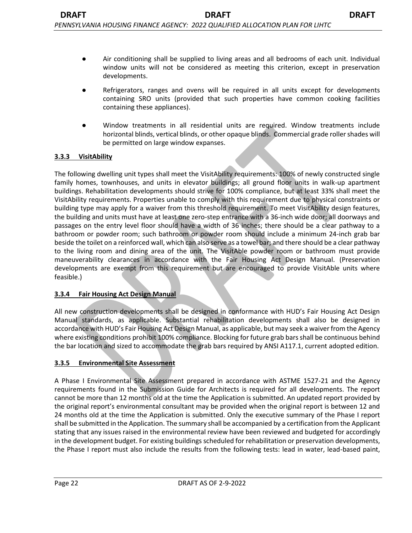- Refrigerators, ranges and ovens will be required in all units except for developments containing SRO units (provided that such properties have common cooking facilities containing these appliances).
- Window treatments in all residential units are required. Window treatments include horizontal blinds, vertical blinds, or other opaque blinds. Commercial grade roller shades will be permitted on large window expanses.

# **3.3.3 VisitAbility**

The following dwelling unit types shall meet the VisitAbility requirements: 100% of newly constructed single family homes, townhouses, and units in elevator buildings; all ground floor units in walk-up apartment buildings. Rehabilitation developments should strive for 100% compliance, but at least 33% shall meet the VisitAbility requirements. Properties unable to comply with this requirement due to physical constraints or building type may apply for a waiver from this threshold requirement. To meet VisitAbility design features, the building and units must have at least one zero-step entrance with a 36-inch wide door; all doorways and passages on the entry level floor should have a width of 36 inches; there should be a clear pathway to a bathroom or powder room; such bathroom or powder room should include a minimum 24-inch grab bar beside the toilet on a reinforced wall, which can also serve as a towel bar; and there should be a clear pathway to the living room and dining area of the unit. The VisitAble powder room or bathroom must provide maneuverability clearances in accordance with the Fair Housing Act Design Manual. (Preservation developments are exempt from this requirement but are encouraged to provide VisitAble units where feasible.)

#### **3.3.4 Fair Housing Act Design Manual**

All new construction developments shall be designed in conformance with HUD's Fair Housing Act Design Manual standards, as applicable. Substantial rehabilitation developments shall also be designed in accordance with HUD's Fair Housing Act Design Manual, as applicable, but may seek a waiver from the Agency where existing conditions prohibit 100% compliance. Blocking for future grab bars shall be continuous behind the bar location and sized to accommodate the grab bars required by ANSI A117.1, current adopted edition.

# **3.3.5 Environmental Site Assessment**

A Phase I Environmental Site Assessment prepared in accordance with ASTME 1527-21 and the Agency requirements found in the Submission Guide for Architects is required for all developments. The report cannot be more than 12 months old at the time the Application is submitted. An updated report provided by the original report's environmental consultant may be provided when the original report is between 12 and 24 months old at the time the Application is submitted. Only the executive summary of the Phase I report shall be submitted in the Application. The summary shall be accompanied by a certification from the Applicant stating that any issues raised in the environmental review have been reviewed and budgeted for accordingly in the development budget. For existing buildings scheduled for rehabilitation or preservation developments, the Phase I report must also include the results from the following tests: lead in water, lead-based paint,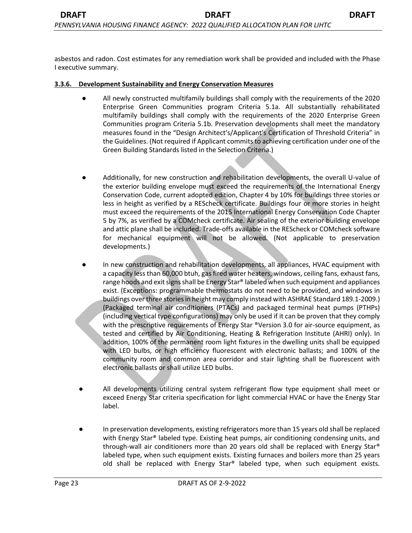asbestos and radon. Cost estimates for any remediation work shall be provided and included with the Phase I executive summary.

#### **3.3.6. Development Sustainability and Energy Conservation Measures**

- All newly constructed multifamily buildings shall comply with the requirements of the 2020 Enterprise Green Communities program Criteria 5.1a. All substantially rehabilitated multifamily buildings shall comply with the requirements of the 2020 Enterprise Green Communities program Criteria 5.1b. Preservation developments shall meet the mandatory measures found in the "Design Architect's/Applicant's Certification of Threshold Criteria" in the Guidelines. (Not required if Applicant commits to achieving certification under one of the Green Building Standards listed in the Selection Criteria.)
- Additionally, for new construction and rehabilitation developments, the overall U-value of the exterior building envelope must exceed the requirements of the International Energy Conservation Code, current adopted edition, Chapter 4 by 10% for buildings three stories or less in height as verified by a REScheck certificate. Buildings four or more stories in height must exceed the requirements of the 2015 International Energy Conservation Code Chapter 5 by 7%, as verified by a COMcheck certificate. Air sealing of the exterior building envelope and attic plane shall be included. Trade-offs available in the REScheck or COMcheck software for mechanical equipment will not be allowed. (Not applicable to preservation developments.)
- In new construction and rehabilitation developments, all appliances, HVAC equipment with a capacity less than 60,000 btuh, gas fired water heaters, windows, ceiling fans, exhaust fans, range hoods and exit signs shall be Energy Star® labeled when such equipment and appliances exist. (Exceptions: programmable thermostats do not need to be provided, and windows in buildings over three stories in height may comply instead with ASHRAE Standard 189.1-2009.) (Packaged terminal air conditioners (PTACs) and packaged terminal heat pumps (PTHPs) (including vertical type configurations) may only be used if it can be proven that they comply with the prescriptive requirements of Energy Star ®Version 3.0 for air-source equipment, as tested and certified by Air Conditioning, Heating & Refrigeration Institute (AHRI) only). In addition, 100% of the permanent room light fixtures in the dwelling units shall be equipped with LED bulbs, or high efficiency fluorescent with electronic ballasts; and 100% of the community room and common area corridor and stair lighting shall be fluorescent with electronic ballasts or shall utilize LED bulbs.
- All developments utilizing central system refrigerant flow type equipment shall meet or exceed Energy Star criteria specification for light commercial HVAC or have the Energy Star label.
- In preservation developments, existing refrigerators more than 15 years old shall be replaced with Energy Star® labeled type. Existing heat pumps, air conditioning condensing units, and through-wall air conditioners more than 20 years old shall be replaced with Energy Star® labeled type, when such equipment exists. Existing furnaces and boilers more than 25 years old shall be replaced with Energy Star® labeled type, when such equipment exists.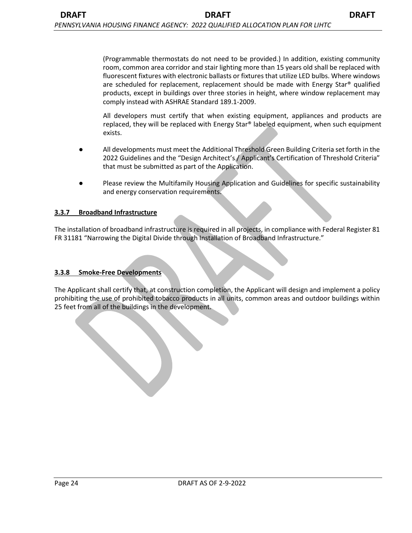All developers must certify that when existing equipment, appliances and products are replaced, they will be replaced with Energy Star® labeled equipment, when such equipment exists.

- All developments must meet the Additional Threshold Green Building Criteria set forth in the 2022 Guidelines and the "Design Architect's / Applicant's Certification of Threshold Criteria" that must be submitted as part of the Application.
- Please review the Multifamily Housing Application and Guidelines for specific sustainability and energy conservation requirements.

#### **3.3.7 Broadband Infrastructure**

The installation of broadband infrastructure is required in all projects, in compliance with Federal Register 81 FR 31181 "Narrowing the Digital Divide through Installation of Broadband Infrastructure."

#### **3.3.8 Smoke-Free Developments**

The Applicant shall certify that, at construction completion, the Applicant will design and implement a policy prohibiting the use of prohibited tobacco products in all units, common areas and outdoor buildings within 25 feet from all of the buildings in the development.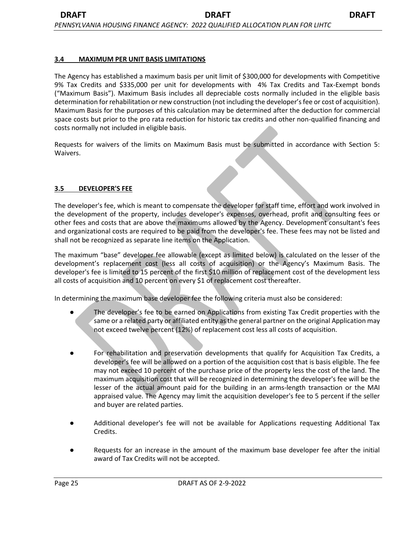#### **3.4 MAXIMUM PER UNIT BASIS LIMITATIONS**

The Agency has established a maximum basis per unit limit of \$300,000 for developments with Competitive 9% Tax Credits and \$335,000 per unit for developments with 4% Tax Credits and Tax-Exempt bonds ("Maximum Basis"). Maximum Basis includes all depreciable costs normally included in the eligible basis determination for rehabilitation or new construction (not including the developer's fee or cost of acquisition). Maximum Basis for the purposes of this calculation may be determined after the deduction for commercial space costs but prior to the pro rata reduction for historic tax credits and other non-qualified financing and costs normally not included in eligible basis.

Requests for waivers of the limits on Maximum Basis must be submitted in accordance with Section 5: Waivers.

### **3.5 DEVELOPER'S FEE**

The developer's fee, which is meant to compensate the developer for staff time, effort and work involved in the development of the property, includes developer's expenses, overhead, profit and consulting fees or other fees and costs that are above the maximums allowed by the Agency. Development consultant's fees and organizational costs are required to be paid from the developer's fee. These fees may not be listed and shall not be recognized as separate line items on the Application.

The maximum "base" developer fee allowable (except as limited below) is calculated on the lesser of the development's replacement cost (less all costs of acquisition) or the Agency's Maximum Basis. The developer's fee is limited to 15 percent of the first \$10 million of replacement cost of the development less all costs of acquisition and 10 percent on every \$1 of replacement cost thereafter.

In determining the maximum base developer fee the following criteria must also be considered:

- The developer's fee to be earned on Applications from existing Tax Credit properties with the same or a related party or affiliated entity as the general partner on the original Application may not exceed twelve percent (12%) of replacement cost less all costs of acquisition.
- For rehabilitation and preservation developments that qualify for Acquisition Tax Credits, a developer's fee will be allowed on a portion of the acquisition cost that is basis eligible. The fee may not exceed 10 percent of the purchase price of the property less the cost of the land. The maximum acquisition cost that will be recognized in determining the developer's fee will be the lesser of the actual amount paid for the building in an arms-length transaction or the MAI appraised value. The Agency may limit the acquisition developer's fee to 5 percent if the seller and buyer are related parties.
- Additional developer's fee will not be available for Applications requesting Additional Tax Credits.
- Requests for an increase in the amount of the maximum base developer fee after the initial award of Tax Credits will not be accepted.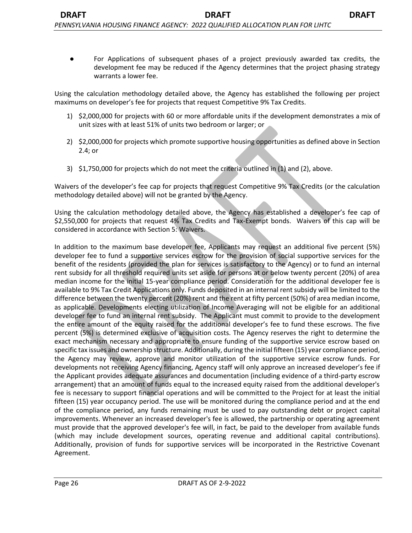Using the calculation methodology detailed above, the Agency has established the following per project maximums on developer's fee for projects that request Competitive 9% Tax Credits.

- 1) \$2,000,000 for projects with 60 or more affordable units if the development demonstrates a mix of unit sizes with at least 51% of units two bedroom or larger; or
- 2) \$2,000,000 for projects which promote supportive housing opportunities as defined above in Section 2.4; or
- 3) \$1,750,000 for projects which do not meet the criteria outlined in (1) and (2), above.

Waivers of the developer's fee cap for projects that request Competitive 9% Tax Credits (or the calculation methodology detailed above) will not be granted by the Agency.

Using the calculation methodology detailed above, the Agency has established a developer's fee cap of \$2,550,000 for projects that request 4% Tax Credits and Tax-Exempt bonds. Waivers of this cap will be considered in accordance with Section 5: Waivers.

In addition to the maximum base developer fee, Applicants may request an additional five percent (5%) developer fee to fund a supportive services escrow for the provision of social supportive services for the benefit of the residents (provided the plan for services is satisfactory to the Agency) or to fund an internal rent subsidy for all threshold required units set aside for persons at or below twenty percent (20%) of area median income for the initial 15-year compliance period. Consideration for the additional developer fee is available to 9% Tax Credit Applications only. Funds deposited in an internal rent subsidy will be limited to the difference between the twenty percent (20%) rent and the rent at fifty percent (50%) of area median income, as applicable. Developments electing utilization of Income Averaging will not be eligible for an additional developer fee to fund an internal rent subsidy. The Applicant must commit to provide to the development the entire amount of the equity raised for the additional developer's fee to fund these escrows. The five percent (5%) is determined exclusive of acquisition costs. The Agency reserves the right to determine the exact mechanism necessary and appropriate to ensure funding of the supportive service escrow based on specific tax issues and ownership structure. Additionally, during the initial fifteen (15) year compliance period, the Agency may review, approve and monitor utilization of the supportive service escrow funds. For developments not receiving Agency financing, Agency staff will only approve an increased developer's fee if the Applicant provides adequate assurances and documentation (including evidence of a third-party escrow arrangement) that an amount of funds equal to the increased equity raised from the additional developer's fee is necessary to support financial operations and will be committed to the Project for at least the initial fifteen (15) year occupancy period. The use will be monitored during the compliance period and at the end of the compliance period, any funds remaining must be used to pay outstanding debt or project capital improvements. Whenever an increased developer's fee is allowed, the partnership or operating agreement must provide that the approved developer's fee will, in fact, be paid to the developer from available funds (which may include development sources, operating revenue and additional capital contributions). Additionally, provision of funds for supportive services will be incorporated in the Restrictive Covenant Agreement.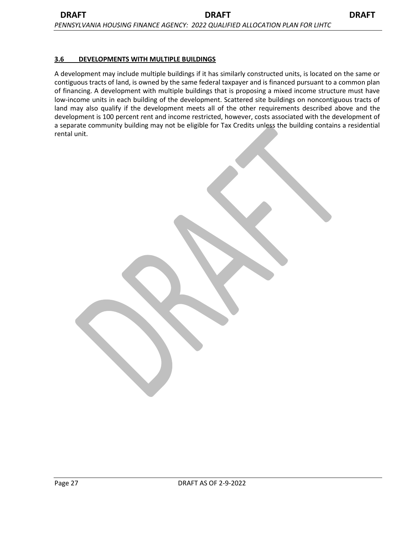#### **3.6 DEVELOPMENTS WITH MULTIPLE BUILDINGS**

A development may include multiple buildings if it has similarly constructed units, is located on the same or contiguous tracts of land, is owned by the same federal taxpayer and is financed pursuant to a common plan of financing. A development with multiple buildings that is proposing a mixed income structure must have low-income units in each building of the development. Scattered site buildings on noncontiguous tracts of land may also qualify if the development meets all of the other requirements described above and the development is 100 percent rent and income restricted, however, costs associated with the development of a separate community building may not be eligible for Tax Credits unless the building contains a residential rental unit.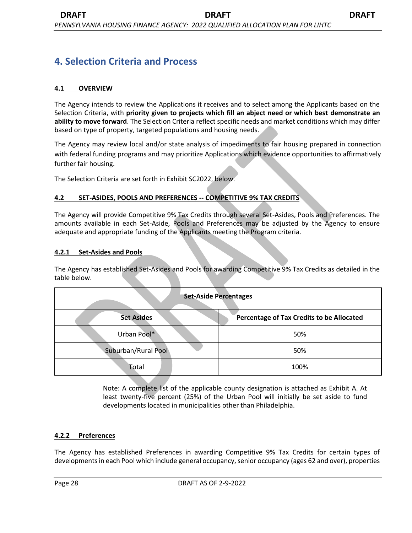# **4. Selection Criteria and Process**

## **4.1 OVERVIEW**

The Agency intends to review the Applications it receives and to select among the Applicants based on the Selection Criteria, with **priority given to projects which fill an abject need or which best demonstrate an ability to move forward**. The Selection Criteria reflect specific needs and market conditions which may differ based on type of property, targeted populations and housing needs.

The Agency may review local and/or state analysis of impediments to fair housing prepared in connection with federal funding programs and may prioritize Applications which evidence opportunities to affirmatively further fair housing.

The Selection Criteria are set forth in Exhibit SC2022, below.

#### **4.2 SET-ASIDES, POOLS AND PREFERENCES -- COMPETITIVE 9% TAX CREDITS**

The Agency will provide Competitive 9% Tax Credits through several Set-Asides, Pools and Preferences. The amounts available in each Set-Aside, Pools and Preferences may be adjusted by the Agency to ensure adequate and appropriate funding of the Applicants meeting the Program criteria.

#### **4.2.1 Set-Asides and Pools**

The Agency has established Set-Asides and Pools for awarding Competitive 9% Tax Credits as detailed in the table below.

| <b>Set-Aside Percentages</b> |                                           |  |
|------------------------------|-------------------------------------------|--|
| <b>Set Asides</b>            | Percentage of Tax Credits to be Allocated |  |
| Urban Pool*                  | 50%                                       |  |
| Suburban/Rural Pool          | 50%                                       |  |
| Total                        | 100%                                      |  |

Note: A complete list of the applicable county designation is attached as Exhibit A. At least twenty-five percent (25%) of the Urban Pool will initially be set aside to fund developments located in municipalities other than Philadelphia.

#### **4.2.2 Preferences**

The Agency has established Preferences in awarding Competitive 9% Tax Credits for certain types of developments in each Pool which include general occupancy, senior occupancy (ages 62 and over), properties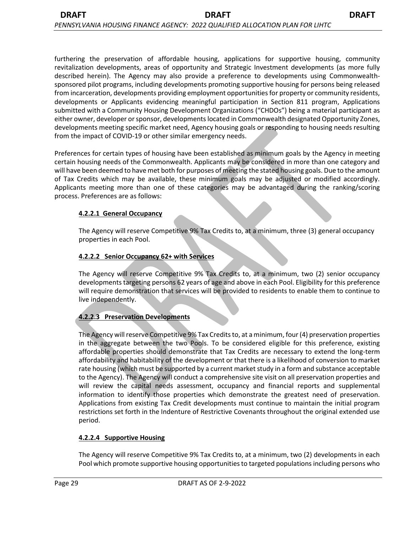from incarceration, developments providing employment opportunities for property or community residents, developments or Applicants evidencing meaningful participation in Section 811 program, Applications submitted with a Community Housing Development Organizations ("CHDOs") being a material participant as either owner, developer or sponsor, developments located in Commonwealth designated Opportunity Zones, developments meeting specific market need, Agency housing goals or responding to housing needs resulting from the impact of COVID-19 or other similar emergency needs.

Preferences for certain types of housing have been established as minimum goals by the Agency in meeting certain housing needs of the Commonwealth. Applicants may be considered in more than one category and will have been deemed to have met both for purposes of meeting the stated housing goals. Due to the amount of Tax Credits which may be available, these minimum goals may be adjusted or modified accordingly. Applicants meeting more than one of these categories may be advantaged during the ranking/scoring process. Preferences are as follows:

### **4.2.2.1 General Occupancy**

The Agency will reserve Competitive 9% Tax Credits to, at a minimum, three (3) general occupancy properties in each Pool.

### **4.2.2.2 Senior Occupancy 62+ with Services**

The Agency will reserve Competitive 9% Tax Credits to, at a minimum, two (2) senior occupancy developments targeting persons 62 years of age and above in each Pool. Eligibility for this preference will require demonstration that services will be provided to residents to enable them to continue to live independently.

# **4.2.2.3 Preservation Developments**

The Agency will reserve Competitive 9% Tax Credits to, at a minimum, four (4) preservation properties in the aggregate between the two Pools. To be considered eligible for this preference, existing affordable properties should demonstrate that Tax Credits are necessary to extend the long-term affordability and habitability of the development or that there is a likelihood of conversion to market rate housing (which must be supported by a current market study in a form and substance acceptable to the Agency). The Agency will conduct a comprehensive site visit on all preservation properties and will review the capital needs assessment, occupancy and financial reports and supplemental information to identify those properties which demonstrate the greatest need of preservation. Applications from existing Tax Credit developments must continue to maintain the initial program restrictions set forth in the Indenture of Restrictive Covenants throughout the original extended use period.

# **4.2.2.4 Supportive Housing**

The Agency will reserve Competitive 9% Tax Credits to, at a minimum, two (2) developments in each Pool which promote supportive housing opportunities to targeted populations including persons who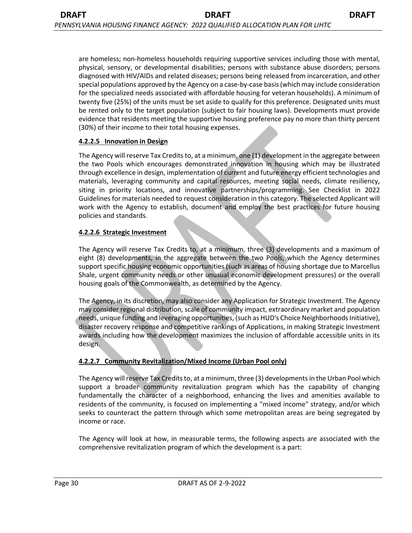are homeless; non-homeless households requiring supportive services including those with mental, physical, sensory, or developmental disabilities; persons with substance abuse disorders; persons diagnosed with HIV/AIDs and related diseases; persons being released from incarceration, and other special populations approved by the Agency on a case-by-case basis (which may include consideration for the specialized needs associated with affordable housing for veteran households). A minimum of twenty five (25%) of the units must be set aside to qualify for this preference. Designated units must be rented only to the target population (subject to fair housing laws). Developments must provide evidence that residents meeting the supportive housing preference pay no more than thirty percent (30%) of their income to their total housing expenses.

### **4.2.2.5 Innovation in Design**

The Agency will reserve Tax Credits to, at a minimum, one (1) development in the aggregate between the two Pools which encourages demonstrated innovation in housing which may be illustrated through excellence in design, implementation of current and future energy efficient technologies and materials, leveraging community and capital resources, meeting social needs, climate resiliency, siting in priority locations, and innovative partnerships/programming. See Checklist in 2022 Guidelines for materials needed to request consideration in this category. The selected Applicant will work with the Agency to establish, document and employ the best practices for future housing policies and standards.

# **4.2.2.6 Strategic Investment**

The Agency will reserve Tax Credits to, at a minimum, three (3) developments and a maximum of eight (8) developments, in the aggregate between the two Pools, which the Agency determines support specific housing economic opportunities (such as areas of housing shortage due to Marcellus Shale, urgent community needs or other unusual economic development pressures) or the overall housing goals of the Commonwealth, as determined by the Agency.

The Agency, in its discretion, may also consider any Application for Strategic Investment. The Agency may consider regional distribution, scale of community impact, extraordinary market and population needs, unique funding and leveraging opportunities, (such as HUD's Choice Neighborhoods Initiative), disaster recovery response and competitive rankings of Applications, in making Strategic Investment awards including how the development maximizes the inclusion of affordable accessible units in its design.

# **4.2.2.7 Community Revitalization/Mixed Income (Urban Pool only)**

The Agency will reserve Tax Credits to, at a minimum, three (3) developments in the Urban Pool which support a broader community revitalization program which has the capability of changing fundamentally the character of a neighborhood, enhancing the lives and amenities available to residents of the community, is focused on implementing a "mixed income" strategy, and/or which seeks to counteract the pattern through which some metropolitan areas are being segregated by income or race.

The Agency will look at how, in measurable terms, the following aspects are associated with the comprehensive revitalization program of which the development is a part: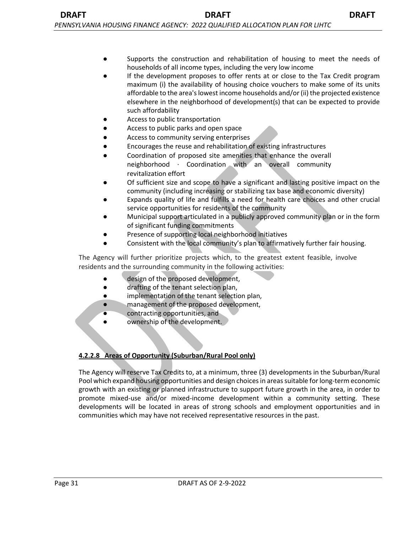- Supports the construction and rehabilitation of housing to meet the needs of households of all income types, including the very low income
- If the development proposes to offer rents at or close to the Tax Credit program maximum (i) the availability of housing choice vouchers to make some of its units affordable to the area's lowest income households and/or (ii) the projected existence elsewhere in the neighborhood of development(s) that can be expected to provide such affordability
- Access to public transportation
- Access to public parks and open space
- Access to community serving enterprises
- Encourages the reuse and rehabilitation of existing infrastructures
- Coordination of proposed site amenities that enhance the overall neighborhood ∙ Coordination with an overall community revitalization effort
- Of sufficient size and scope to have a significant and lasting positive impact on the community (including increasing or stabilizing tax base and economic diversity)
- Expands quality of life and fulfills a need for health care choices and other crucial service opportunities for residents of the community
- Municipal support articulated in a publicly approved community plan or in the form of significant funding commitments
- Presence of supporting local neighborhood initiatives
- Consistent with the local community's plan to affirmatively further fair housing.

The Agency will further prioritize projects which, to the greatest extent feasible, involve residents and the surrounding community in the following activities:

- design of the proposed development,
- drafting of the tenant selection plan,
- implementation of the tenant selection plan,
- management of the proposed development,
- contracting opportunities, and
- ownership of the development.

# **4.2.2.8 Areas of Opportunity (Suburban/Rural Pool only)**

The Agency will reserve Tax Credits to, at a minimum, three (3) developments in the Suburban/Rural Pool which expand housing opportunities and design choices in areas suitable for long-term economic growth with an existing or planned infrastructure to support future growth in the area, in order to promote mixed-use and/or mixed-income development within a community setting. These developments will be located in areas of strong schools and employment opportunities and in communities which may have not received representative resources in the past.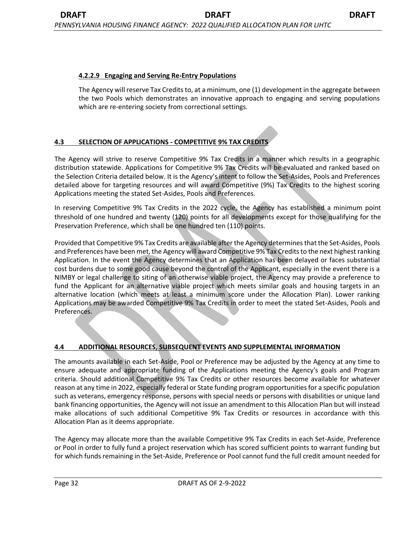## **4.2.2.9 Engaging and Serving Re-Entry Populations**

The Agency will reserve Tax Credits to, at a minimum, one (1) development in the aggregate between the two Pools which demonstrates an innovative approach to engaging and serving populations which are re-entering society from correctional settings.

# **4.3 SELECTION OF APPLICATIONS - COMPETITIVE 9% TAX CREDITS**

The Agency will strive to reserve Competitive 9% Tax Credits in a manner which results in a geographic distribution statewide. Applications for Competitive 9% Tax Credits will be evaluated and ranked based on the Selection Criteria detailed below. It is the Agency's intent to follow the Set-Asides, Pools and Preferences detailed above for targeting resources and will award Competitive (9%) Tax Credits to the highest scoring Applications meeting the stated Set-Asides, Pools and Preferences.

In reserving Competitive 9% Tax Credits in the 2022 cycle, the Agency has established a minimum point threshold of one hundred and twenty (120) points for all developments except for those qualifying for the Preservation Preference, which shall be one hundred ten (110) points.

Provided that Competitive 9% Tax Credits are available after the Agency determines that the Set-Asides, Pools and Preferences have been met, the Agency will award Competitive 9% Tax Credits to the next highest ranking Application. In the event the Agency determines that an Application has been delayed or faces substantial cost burdens due to some good cause beyond the control of the Applicant, especially in the event there is a NIMBY or legal challenge to siting of an otherwise viable project, the Agency may provide a preference to fund the Applicant for an alternative viable project which meets similar goals and housing targets in an alternative location (which meets at least a minimum score under the Allocation Plan). Lower ranking Applications may be awarded Competitive 9% Tax Credits in order to meet the stated Set-Asides, Pools and Preferences.

# **4.4 ADDITIONAL RESOURCES, SUBSEQUENT EVENTS AND SUPPLEMENTAL INFORMATION**

The amounts available in each Set-Aside, Pool or Preference may be adjusted by the Agency at any time to ensure adequate and appropriate funding of the Applications meeting the Agency's goals and Program criteria. Should additional Competitive 9% Tax Credits or other resources become available for whatever reason at any time in 2022, especially federal or State funding program opportunities for a specific population such as veterans, emergency response, persons with special needs or persons with disabilities or unique land bank financing opportunities, the Agency will not issue an amendment to this Allocation Plan but will instead make allocations of such additional Competitive 9% Tax Credits or resources in accordance with this Allocation Plan as it deems appropriate.

The Agency may allocate more than the available Competitive 9% Tax Credits in each Set-Aside, Preference or Pool in order to fully fund a project reservation which has scored sufficient points to warrant funding but for which funds remaining in the Set-Aside, Preference or Pool cannot fund the full credit amount needed for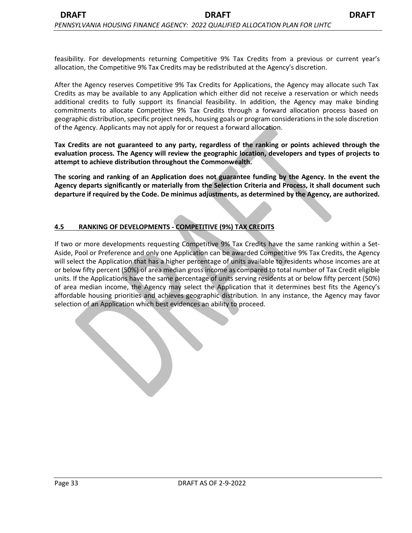feasibility. For developments returning Competitive 9% Tax Credits from a previous or current year's allocation, the Competitive 9% Tax Credits may be redistributed at the Agency's discretion.

After the Agency reserves Competitive 9% Tax Credits for Applications, the Agency may allocate such Tax Credits as may be available to any Application which either did not receive a reservation or which needs additional credits to fully support its financial feasibility. In addition, the Agency may make binding commitments to allocate Competitive 9% Tax Credits through a forward allocation process based on geographic distribution, specific project needs, housing goals or program considerations in the sole discretion of the Agency. Applicants may not apply for or request a forward allocation.

**Tax Credits are not guaranteed to any party, regardless of the ranking or points achieved through the evaluation process. The Agency will review the geographic location, developers and types of projects to attempt to achieve distribution throughout the Commonwealth.** 

**The scoring and ranking of an Application does not guarantee funding by the Agency. In the event the Agency departs significantly or materially from the Selection Criteria and Process, it shall document such departure if required by the Code. De minimus adjustments, as determined by the Agency, are authorized.** 

# **4.5 RANKING OF DEVELOPMENTS - COMPETITIVE (9%) TAX CREDITS**

If two or more developments requesting Competitive 9% Tax Credits have the same ranking within a Set-Aside, Pool or Preference and only one Application can be awarded Competitive 9% Tax Credits, the Agency will select the Application that has a higher percentage of units available to residents whose incomes are at or below fifty percent (50%) of area median gross income as compared to total number of Tax Credit eligible units. If the Applications have the same percentage of units serving residents at or below fifty percent (50%) of area median income, the Agency may select the Application that it determines best fits the Agency's affordable housing priorities and achieves geographic distribution. In any instance, the Agency may favor selection of an Application which best evidences an ability to proceed.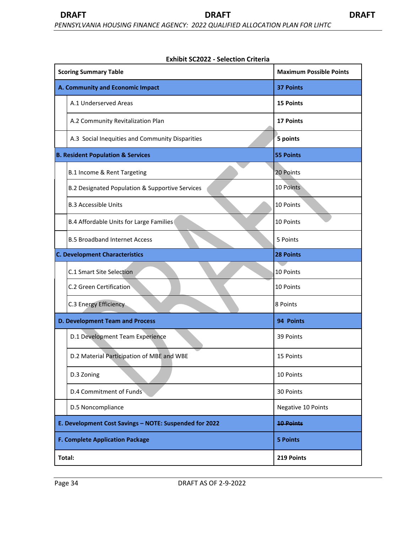| <b>Scoring Summary Table</b>                           | <b>Maximum Possible Points</b> |
|--------------------------------------------------------|--------------------------------|
| A. Community and Economic Impact                       | <b>37 Points</b>               |
| A.1 Underserved Areas                                  | <b>15 Points</b>               |
| A.2 Community Revitalization Plan                      | <b>17 Points</b>               |
| A.3 Social Inequities and Community Disparities        | 5 points                       |
| <b>B. Resident Population &amp; Services</b>           | <b>55 Points</b>               |
| B.1 Income & Rent Targeting                            | 20 Points                      |
| B.2 Designated Population & Supportive Services        | 10 Points                      |
| <b>B.3 Accessible Units</b>                            | 10 Points                      |
| B.4 Affordable Units for Large Families                | 10 Points                      |
| <b>B.5 Broadband Internet Access</b>                   | 5 Points                       |
| <b>C. Development Characteristics</b>                  | <b>28 Points</b>               |
| C.1 Smart Site Selection                               | 10 Points                      |
| C.2 Green Certification                                | 10 Points                      |
| C.3 Energy Efficiency                                  | 8 Points                       |
| <b>D. Development Team and Process</b>                 | 94 Points                      |
| D.1 Development Team Experience                        | 39 Points                      |
| D.2 Material Participation of MBE and WBE              | 15 Points                      |
| D.3 Zoning                                             | 10 Points                      |
| D.4 Commitment of Funds                                | 30 Points                      |
| D.5 Noncompliance                                      | Negative 10 Points             |
| E. Development Cost Savings - NOTE: Suspended for 2022 | <b>10 Points</b>               |
| <b>F. Complete Application Package</b>                 | <b>5 Points</b>                |
| Total:                                                 | 219 Points                     |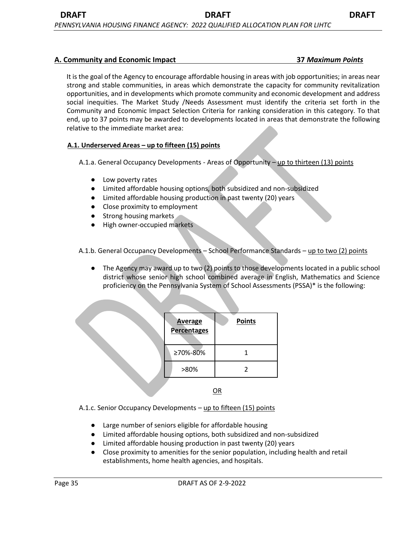#### **A. Community and Economic Impact 37** *Maximum Points*

It is the goal of the Agency to encourage affordable housing in areas with job opportunities; in areas near strong and stable communities, in areas which demonstrate the capacity for community revitalization opportunities, and in developments which promote community and economic development and address social inequities. The Market Study /Needs Assessment must identify the criteria set forth in the Community and Economic Impact Selection Criteria for ranking consideration in this category. To that end, up to 37 points may be awarded to developments located in areas that demonstrate the following relative to the immediate market area:

#### **A.1. Underserved Areas – up to fifteen (15) points**

A.1.a. General Occupancy Developments - Areas of Opportunity - up to thirteen (13) points

- Low poverty rates
- Limited affordable housing options, both subsidized and non-subsidized
- Limited affordable housing production in past twenty (20) years
- Close proximity to employment
- Strong housing markets
- High owner-occupied markets

A.1.b. General Occupancy Developments - School Performance Standards - up to two (2) points

The Agency may award up to two (2) points to those developments located in a public school district whose senior high school combined average in English, Mathematics and Science proficiency on the Pennsylvania System of School Assessments (PSSA)\* is the following:

| <b>Average</b><br><b>Percentages</b> | <b>Points</b> |
|--------------------------------------|---------------|
| ≥70%-80%                             |               |
| >80%                                 |               |
|                                      | OR            |

A.1.c. Senior Occupancy Developments – up to fifteen (15) points

- Large number of seniors eligible for affordable housing
- Limited affordable housing options, both subsidized and non-subsidized
- Limited affordable housing production in past twenty (20) years
- Close proximity to amenities for the senior population, including health and retail establishments, home health agencies, and hospitals.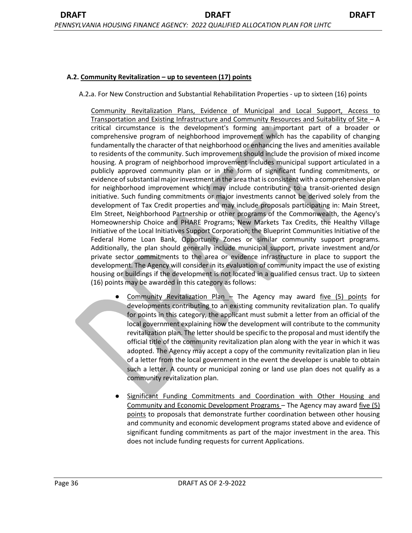#### **A.2. Community Revitalization – up to seventeen (17) points**

A.2**.**a. For New Construction and Substantial Rehabilitation Properties - up to sixteen (16) points

Community Revitalization Plans, Evidence of Municipal and Local Support, Access to Transportation and Existing Infrastructure and Community Resources and Suitability of Site – A critical circumstance is the development's forming an important part of a broader or comprehensive program of neighborhood improvement which has the capability of changing fundamentally the character of that neighborhood or enhancing the lives and amenities available to residents of the community. Such improvement should include the provision of mixed income housing. A program of neighborhood improvement includes municipal support articulated in a publicly approved community plan or in the form of significant funding commitments, or evidence of substantial major investment in the area that is consistent with a comprehensive plan for neighborhood improvement which may include contributing to a transit-oriented design initiative. Such funding commitments or major investments cannot be derived solely from the development of Tax Credit properties and may include proposals participating in: Main Street, Elm Street, Neighborhood Partnership or other programs of the Commonwealth, the Agency's Homeownership Choice and PHARE Programs; New Markets Tax Credits, the Healthy Village Initiative of the Local Initiatives Support Corporation; the Blueprint Communities Initiative of the Federal Home Loan Bank, Opportunity Zones or similar community support programs. Additionally, the plan should generally include municipal support, private investment and/or private sector commitments to the area or evidence infrastructure in place to support the development. The Agency will consider in its evaluation of community impact the use of existing housing or buildings if the development is not located in a qualified census tract. Up to sixteen (16) points may be awarded in this category as follows:

- Community Revitalization Plan The Agency may award five  $(5)$  points for developments contributing to an existing community revitalization plan. To qualify for points in this category, the applicant must submit a letter from an official of the local government explaining how the development will contribute to the community revitalization plan. The letter should be specific to the proposal and must identify the official title of the community revitalization plan along with the year in which it was adopted. The Agency may accept a copy of the community revitalization plan in lieu of a letter from the local government in the event the developer is unable to obtain such a letter. A county or municipal zoning or land use plan does not qualify as a community revitalization plan.
- Significant Funding Commitments and Coordination with Other Housing and Community and Economic Development Programs – The Agency may award five (5) points to proposals that demonstrate further coordination between other housing and community and economic development programs stated above and evidence of significant funding commitments as part of the major investment in the area. This does not include funding requests for current Applications.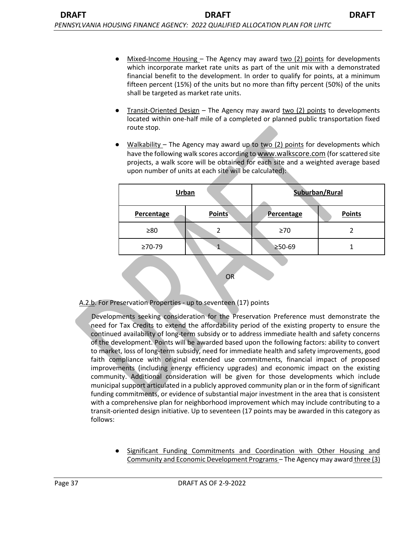- Mixed-Income Housing The Agency may award two  $(2)$  points for developments which incorporate market rate units as part of the unit mix with a demonstrated financial benefit to the development. In order to qualify for points, at a minimum fifteen percent (15%) of the units but no more than fifty percent (50%) of the units shall be targeted as market rate units.
- $Transit-Oriented Design The Agency may award two (2) points to developments$ located within one-half mile of a completed or planned public transportation fixed route stop.
- $Walkability -$  The Agency may award up to two (2) points for developments which have the following walk scores according to www.walkscore.com (for scattered site projects, a walk score will be obtained for each site and a weighted average based upon number of units at each site will be calculated):

|                | Urban         | Suburban/Rural |               |
|----------------|---------------|----------------|---------------|
| Percentage     | <b>Points</b> | Percentage     | <b>Points</b> |
| $\geq 80$      | 2             | $\geq 70$      |               |
| $\geq 70 - 79$ |               | ≥50-69         |               |
| ЭR             |               |                |               |

A.2.b. For Preservation Properties - up to seventeen (17) points

Developments seeking consideration for the Preservation Preference must demonstrate the need for Tax Credits to extend the affordability period of the existing property to ensure the continued availability of long-term subsidy or to address immediate health and safety concerns of the development. Points will be awarded based upon the following factors: ability to convert to market, loss of long-term subsidy, need for immediate health and safety improvements, good faith compliance with original extended use commitments, financial impact of proposed improvements (including energy efficiency upgrades) and economic impact on the existing community. Additional consideration will be given for those developments which include municipal support articulated in a publicly approved community plan or in the form of significant funding commitments, or evidence of substantial major investment in the area that is consistent with a comprehensive plan for neighborhood improvement which may include contributing to a transit-oriented design initiative. Up to seventeen (17 points may be awarded in this category as follows:

Significant Funding Commitments and Coordination with Other Housing and Community and Economic Development Programs – The Agency may award three (3)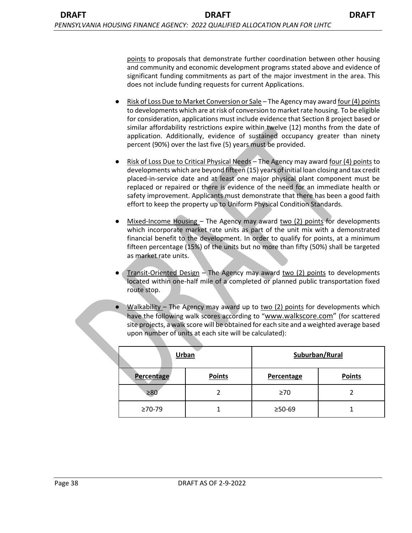points to proposals that demonstrate further coordination between other housing and community and economic development programs stated above and evidence of significant funding commitments as part of the major investment in the area. This does not include funding requests for current Applications.

- Risk of Loss Due to Market Conversion or Sale The Agency may award four (4) points to developments which are at risk of conversion to market rate housing. To be eligible for consideration, applications must include evidence that Section 8 project based or similar affordability restrictions expire within twelve (12) months from the date of application. Additionally, evidence of sustained occupancy greater than ninety percent (90%) over the last five (5) years must be provided.
- Risk of Loss Due to Critical Physical Needs The Agency may award four (4) points to developments which are beyond fifteen (15) years of initial loan closing and tax credit placed-in-service date and at least one major physical plant component must be replaced or repaired or there is evidence of the need for an immediate health or safety improvement. Applicants must demonstrate that there has been a good faith effort to keep the property up to Uniform Physical Condition Standards.
- Mixed-Income Housing The Agency may award two (2) points for developments which incorporate market rate units as part of the unit mix with a demonstrated financial benefit to the development. In order to qualify for points, at a minimum fifteen percentage (15%) of the units but no more than fifty (50%) shall be targeted as market rate units.
- **Transit-Oriented Design The Agency may award two (2) points to developments** located within one-half mile of a completed or planned public transportation fixed route stop.
- Walkability The Agency may award up to two  $(2)$  points for developments which have the following walk scores according to "www.walkscore.com" (for scattered site projects, a walk score will be obtained for each site and a weighted average based upon number of units at each site will be calculated):

|            | Urban         | Suburban/Rural |               |
|------------|---------------|----------------|---------------|
| Percentage | <b>Points</b> | Percentage     | <b>Points</b> |
| $\geq 80$  |               | $\geq 70$      |               |
| ≥70-79     |               | $≥50-69$       |               |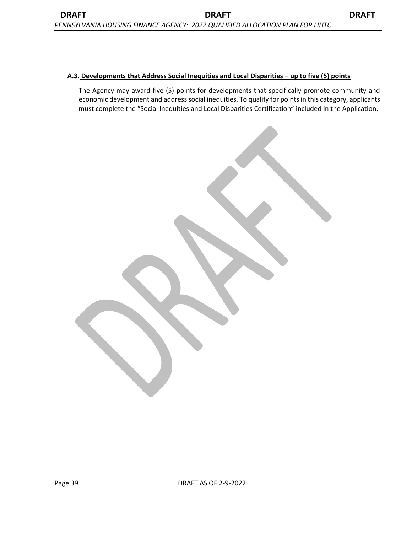#### **A.3. Developments that Address Social Inequities and Local Disparities – up to five (5) points**

The Agency may award five (5) points for developments that specifically promote community and economic development and address social inequities. To qualify for points in this category, applicants must complete the "Social Inequities and Local Disparities Certification" included in the Application.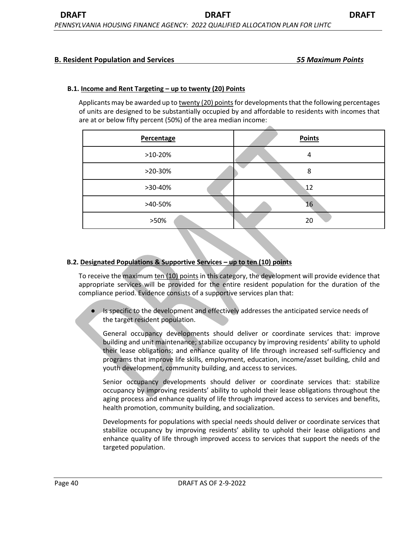### **B. Resident Population and Services** *55 Maximum Points*

#### **B.1. Income and Rent Targeting – up to twenty (20) Points**

Applicants may be awarded up to twenty (20) points for developments that the following percentages of units are designed to be substantially occupied by and affordable to residents with incomes that are at or below fifty percent (50%) of the area median income:

| Percentage | <b>Points</b> |
|------------|---------------|
| $>10-20%$  | 4             |
| $>20-30%$  | 8             |
| >30-40%    | 12            |
| >40-50%    | 16            |
| >50%       | 20            |

#### **B.2. Designated Populations & Supportive Services – up to ten (10) points**

To receive the maximum ten (10) points in this category, the development will provide evidence that appropriate services will be provided for the entire resident population for the duration of the compliance period. Evidence consists of a supportive services plan that:

Is specific to the development and effectively addresses the anticipated service needs of the target resident population.

General occupancy developments should deliver or coordinate services that: improve building and unit maintenance; stabilize occupancy by improving residents' ability to uphold their lease obligations; and enhance quality of life through increased self-sufficiency and programs that improve life skills, employment, education, income/asset building, child and youth development, community building, and access to services.

Senior occupancy developments should deliver or coordinate services that: stabilize occupancy by improving residents' ability to uphold their lease obligations throughout the aging process and enhance quality of life through improved access to services and benefits, health promotion, community building, and socialization.

Developments for populations with special needs should deliver or coordinate services that stabilize occupancy by improving residents' ability to uphold their lease obligations and enhance quality of life through improved access to services that support the needs of the targeted population.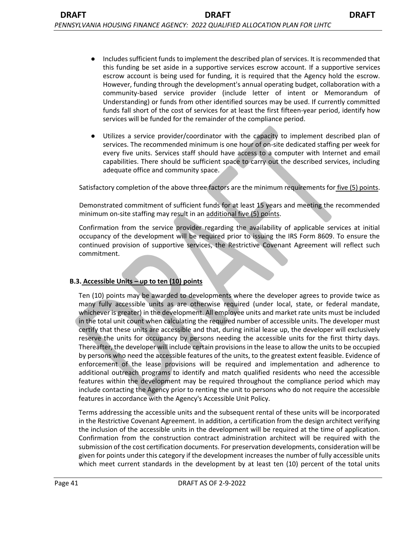- Includes sufficient funds to implement the described plan of services. It is recommended that this funding be set aside in a supportive services escrow account. If a supportive services escrow account is being used for funding, it is required that the Agency hold the escrow. However, funding through the development's annual operating budget, collaboration with a community-based service provider (include letter of intent or Memorandum of Understanding) or funds from other identified sources may be used. If currently committed funds fall short of the cost of services for at least the first fifteen-year period, identify how services will be funded for the remainder of the compliance period.
- Utilizes a service provider/coordinator with the capacity to implement described plan of services. The recommended minimum is one hour of on-site dedicated staffing per week for every five units. Services staff should have access to a computer with Internet and email capabilities. There should be sufficient space to carry out the described services, including adequate office and community space.

Satisfactory completion of the above three factors are the minimum requirements for five (5) points.

Demonstrated commitment of sufficient funds for at least 15 years and meeting the recommended minimum on-site staffing may result in an additional five (5) points.

Confirmation from the service provider regarding the availability of applicable services at initial occupancy of the development will be required prior to issuing the IRS Form 8609. To ensure the continued provision of supportive services, the Restrictive Covenant Agreement will reflect such commitment.

#### **B.3. Accessible Units – up to ten (10) points**

Ten (10) points may be awarded to developments where the developer agrees to provide twice as many fully accessible units as are otherwise required (under local, state, or federal mandate, whichever is greater) in the development. All employee units and market rate units must be included in the total unit count when calculating the required number of accessible units. The developer must certify that these units are accessible and that, during initial lease up, the developer will exclusively reserve the units for occupancy by persons needing the accessible units for the first thirty days. Thereafter, the developer will include certain provisions in the lease to allow the units to be occupied by persons who need the accessible features of the units, to the greatest extent feasible. Evidence of enforcement of the lease provisions will be required and implementation and adherence to additional outreach programs to identify and match qualified residents who need the accessible features within the development may be required throughout the compliance period which may include contacting the Agency prior to renting the unit to persons who do not require the accessible features in accordance with the Agency's Accessible Unit Policy.

Terms addressing the accessible units and the subsequent rental of these units will be incorporated in the Restrictive Covenant Agreement. In addition, a certification from the design architect verifying the inclusion of the accessible units in the development will be required at the time of application. Confirmation from the construction contract administration architect will be required with the submission of the cost certification documents. For preservation developments, consideration will be given for points under this category if the development increases the number of fully accessible units which meet current standards in the development by at least ten (10) percent of the total units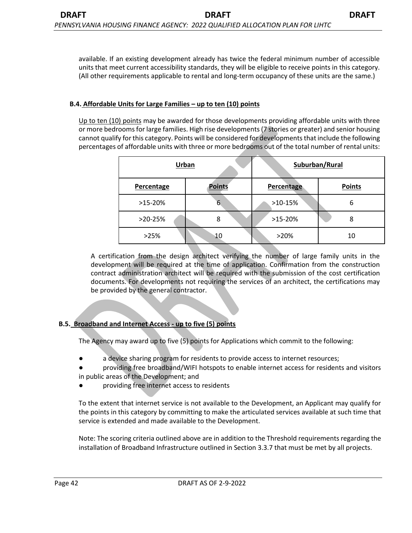available. If an existing development already has twice the federal minimum number of accessible units that meet current accessibility standards, they will be eligible to receive points in this category. (All other requirements applicable to rental and long-term occupancy of these units are the same.)

#### **B.4. Affordable Units for Large Families – up to ten (10) points**

Up to ten (10) points may be awarded for those developments providing affordable units with three or more bedrooms for large families. High rise developments (7 stories or greater) and senior housing cannot qualify for this category. Points will be considered for developments that include the following percentages of affordable units with three or more bedrooms out of the total number of rental units:

|            | Urban         | Suburban/Rural |               |
|------------|---------------|----------------|---------------|
| Percentage | <b>Points</b> | Percentage     | <b>Points</b> |
| $>15-20%$  | 6             | $>10-15%$      |               |
| $>20-25%$  | 8             | $>15-20%$      | 8             |
| >25%       | 10            | >20%           | 10            |

A certification from the design architect verifying the number of large family units in the development will be required at the time of application. Confirmation from the construction contract administration architect will be required with the submission of the cost certification documents. For developments not requiring the services of an architect, the certifications may be provided by the general contractor.

# **B.5. Broadband and Internet Access - up to five (5) points**

The Agency may award up to five (5) points for Applications which commit to the following:

- a device sharing program for residents to provide access to internet resources;
- providing free broadband/WIFI hotspots to enable internet access for residents and visitors

in public areas of the Development; and

providing free internet access to residents

To the extent that internet service is not available to the Development, an Applicant may qualify for the points in this category by committing to make the articulated services available at such time that service is extended and made available to the Development.

Note: The scoring criteria outlined above are in addition to the Threshold requirements regarding the installation of Broadband Infrastructure outlined in Section 3.3.7 that must be met by all projects.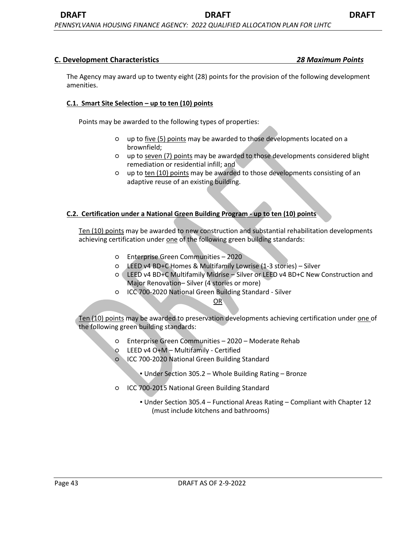#### **C. Development Characteristics** *28 Maximum Points*

The Agency may award up to twenty eight (28) points for the provision of the following development amenities.

#### **C.1. Smart Site Selection – up to ten (10) points**

Points may be awarded to the following types of properties:

- up to five (5) points may be awarded to those developments located on a brownfield;
- up to seven (7) points may be awarded to those developments considered blight remediation or residential infill; and
- up to ten (10) points may be awarded to those developments consisting of an adaptive reuse of an existing building.

#### **C.2. Certification under a National Green Building Program - up to ten (10) points**

Ten (10) points may be awarded to new construction and substantial rehabilitation developments achieving certification under one of the following green building standards:

- Enterprise Green Communities 2020
- LEED v4 BD+C Homes & Multifamily Lowrise (1-3 stories) Silver
- LEED v4 BD+C Multifamily Midrise Silver or LEED v4 BD+C New Construction and Major Renovation– Silver (4 stories or more)
- ICC 700-2020 National Green Building Standard Silver

OR

Ten (10) points may be awarded to preservation developments achieving certification under one of the following green building standards:

- Enterprise Green Communities 2020 Moderate Rehab
- LEED v4 O+M Multifamily Certified
- ICC 700-2020 National Green Building Standard
	- Under Section 305.2 Whole Building Rating Bronze
- ICC 700-2015 National Green Building Standard
	- Under Section 305.4 Functional Areas Rating Compliant with Chapter 12 (must include kitchens and bathrooms)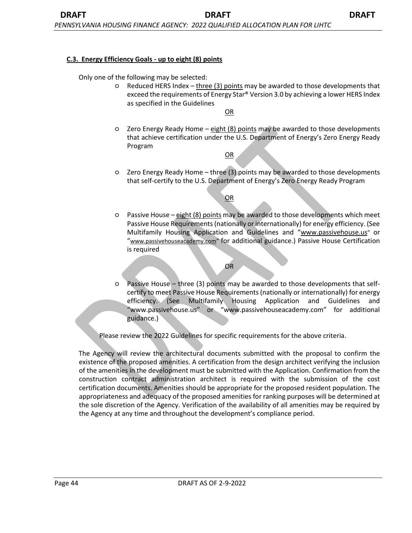#### **C.3. Energy Efficiency Goals - up to eight (8) points**

Only one of the following may be selected:

○ Reduced HERS Index – three (3) points may be awarded to those developments that exceed the requirements of Energy Star® Version 3.0 by achieving a lower HERS Index as specified in the Guidelines

OR

○ Zero Energy Ready Home – eight (8) points may be awarded to those developments that achieve certification under the U.S. Department of Energy's Zero Energy Ready Program

OR

○ Zero Energy Ready Home – three (3) points may be awarded to those developments that self-certify to the U.S. Department of Energy's Zero Energy Ready Program

OR

○ Passive House – eight (8) points may be awarded to those developments which meet Passive House Requirements (nationally or internationally) for energy efficiency. (See Multifamily Housing Application and Guidelines and "www.passivehouse.us" or "www.passivehouseacademy.com" for additional guidance.) Passive House Certification is required

OR

○ Passive House – three (3) points may be awarded to those developments that selfcertify to meet Passive House Requirements (nationally or internationally) for energy efficiency. (See Multifamily Housing Application and Guidelines and "www.passivehouse.us" or "www.passivehouseacademy.com" for additional guidance.)

Please review the 2022 Guidelines for specific requirements for the above criteria.

The Agency will review the architectural documents submitted with the proposal to confirm the existence of the proposed amenities. A certification from the design architect verifying the inclusion of the amenities in the development must be submitted with the Application. Confirmation from the construction contract administration architect is required with the submission of the cost certification documents. Amenities should be appropriate for the proposed resident population. The appropriateness and adequacy of the proposed amenities for ranking purposes will be determined at the sole discretion of the Agency. Verification of the availability of all amenities may be required by the Agency at any time and throughout the development's compliance period.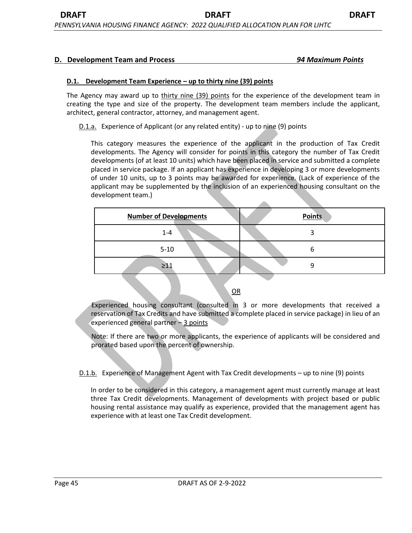#### **D.1. Development Team Experience – up to thirty nine (39) points**

The Agency may award up to thirty nine (39) points for the experience of the development team in creating the type and size of the property. The development team members include the applicant, architect, general contractor, attorney, and management agent.

D.1.a. Experience of Applicant (or any related entity) - up to nine (9) points

This category measures the experience of the applicant in the production of Tax Credit developments. The Agency will consider for points in this category the number of Tax Credit developments (of at least 10 units) which have been placed in service and submitted a complete placed in service package. If an applicant has experience in developing 3 or more developments of under 10 units, up to 3 points may be awarded for experience. (Lack of experience of the applicant may be supplemented by the inclusion of an experienced housing consultant on the development team.)

| <b>Number of Developments</b> | <b>Points</b> |
|-------------------------------|---------------|
| $1 - 4$                       |               |
| $5 - 10$                      | n             |
| $\geq 11$                     | a             |

OR

Experienced housing consultant (consulted in 3 or more developments that received a reservation of Tax Credits and have submitted a complete placed in service package) in lieu of an experienced general partner – 3 points

Note: If there are two or more applicants, the experience of applicants will be considered and prorated based upon the percent of ownership.

D.1.b. Experience of Management Agent with Tax Credit developments – up to nine (9) points

In order to be considered in this category, a management agent must currently manage at least three Tax Credit developments. Management of developments with project based or public housing rental assistance may qualify as experience, provided that the management agent has experience with at least one Tax Credit development.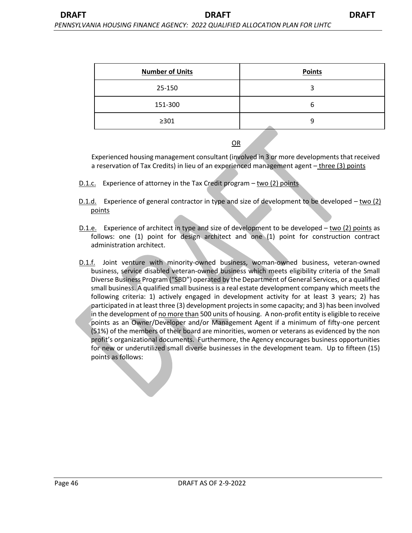| <b>Number of Units</b> | <b>Points</b> |
|------------------------|---------------|
| 25-150                 | 3             |
| 151-300                | b             |
| $\geq$ 301             | 9             |

OR

Experienced housing management consultant (involved in 3 or more developments that received a reservation of Tax Credits) in lieu of an experienced management agent – three (3) points

- D.1.c. Experience of attorney in the Tax Credit program two (2) points
- D.1.d. Experience of general contractor in type and size of development to be developed two (2) points
- D.1.e. Experience of architect in type and size of development to be developed two (2) points as follows: one (1) point for design architect and one (1) point for construction contract administration architect.
- D.1.f. Joint venture with minority-owned business, woman-owned business, veteran-owned business, service disabled veteran-owned business which meets eligibility criteria of the Small Diverse Business Program ("SBD") operated by the Department of General Services, or a qualified small business. A qualified small business is a real estate development company which meets the following criteria: 1) actively engaged in development activity for at least 3 years; 2) has participated in at least three (3) development projects in some capacity; and 3) has been involved in the development of no more than 500 units of housing. A non-profit entity is eligible to receive points as an Owner/Developer and/or Management Agent if a minimum of fifty-one percent (51%) of the members of their board are minorities, women or veterans as evidenced by the non profit's organizational documents. Furthermore, the Agency encourages business opportunities for new or underutilized small diverse businesses in the development team. Up to fifteen (15) points as follows: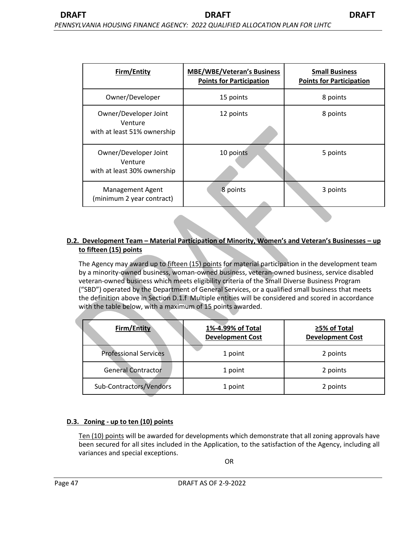| Firm/Entity                                                     | <b>MBE/WBE/Veteran's Business</b><br><b>Points for Participation</b> | <b>Small Business</b><br><b>Points for Participation</b> |
|-----------------------------------------------------------------|----------------------------------------------------------------------|----------------------------------------------------------|
| Owner/Developer                                                 | 15 points                                                            | 8 points                                                 |
| Owner/Developer Joint<br>Venture<br>with at least 51% ownership | 12 points                                                            | 8 points                                                 |
| Owner/Developer Joint<br>Venture<br>with at least 30% ownership | 10 points                                                            | 5 points                                                 |
| <b>Management Agent</b><br>(minimum 2 year contract)            | 8 points                                                             | 3 points                                                 |

# **D.2. Development Team – Material Participation of Minority, Women's and Veteran's Businesses – up to fifteen (15) points**

The Agency may award up to fifteen (15) points for material participation in the development team by a minority-owned business, woman-owned business, veteran-owned business, service disabled veteran-owned business which meets eligibility criteria of the Small Diverse Business Program ("SBD") operated by the Department of General Services, or a qualified small business that meets the definition above in Section D.1.f Multiple entities will be considered and scored in accordance with the table below, with a maximum of 15 points awarded.

| <b>Firm/Entity</b>           | 1%-4.99% of Total<br><b>Development Cost</b> | ≥5% of Total<br><b>Development Cost</b> |
|------------------------------|----------------------------------------------|-----------------------------------------|
| <b>Professional Services</b> | 1 point                                      | 2 points                                |
| <b>General Contractor</b>    | 1 point                                      | 2 points                                |
| Sub-Contractors/Vendors      | 1 point                                      | 2 points                                |

#### **D.3. Zoning - up to ten (10) points**

Ten (10) points will be awarded for developments which demonstrate that all zoning approvals have been secured for all sites included in the Application, to the satisfaction of the Agency, including all variances and special exceptions.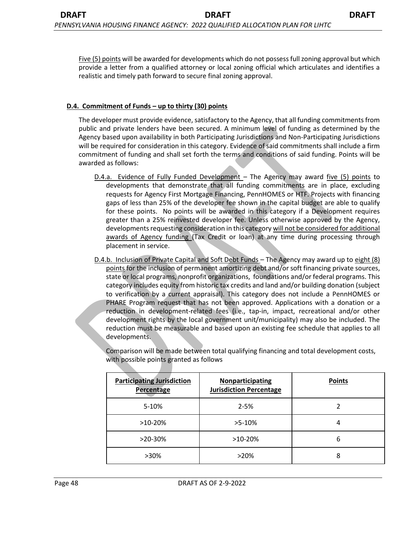Five (5) points will be awarded for developments which do not possess full zoning approval but which provide a letter from a qualified attorney or local zoning official which articulates and identifies a realistic and timely path forward to secure final zoning approval.

## **D.4. Commitment of Funds – up to thirty (30) points**

The developer must provide evidence, satisfactory to the Agency, that all funding commitments from public and private lenders have been secured. A minimum level of funding as determined by the Agency based upon availability in both Participating Jurisdictions and Non-Participating Jurisdictions will be required for consideration in this category. Evidence of said commitments shall include a firm commitment of funding and shall set forth the terms and conditions of said funding. Points will be awarded as follows:

- D.4.a. Evidence of Fully Funded Development The Agency may award five (5) points to developments that demonstrate that all funding commitments are in place, excluding requests for Agency First Mortgage Financing, PennHOMES or HTF. Projects with financing gaps of less than 25% of the developer fee shown in the capital budget are able to qualify for these points. No points will be awarded in this category if a Development requires greater than a 25% reinvested developer fee. Unless otherwise approved by the Agency, developments requesting consideration in this category will not be considered for additional awards of Agency funding (Tax Credit or loan) at any time during processing through placement in service.
- D.4.b. Inclusion of Private Capital and Soft Debt Funds The Agency may award up to eight (8) points for the inclusion of permanent amortizing debt and/or soft financing private sources, state or local programs, nonprofit organizations, foundations and/or federal programs. This category includes equity from historic tax credits and land and/or building donation (subject to verification by a current appraisal). This category does not include a PennHOMES or PHARE Program request that has not been approved. Applications with a donation or a reduction in development-related fees (i.e., tap-in, impact, recreational and/or other development rights by the local government unit/municipality) may also be included. The reduction must be measurable and based upon an existing fee schedule that applies to all developments.

Comparison will be made between total qualifying financing and total development costs, with possible points granted as follows

| <b>Participating Jurisdiction</b><br>Percentage | Nonparticipating<br><b>Jurisdiction Percentage</b> | <b>Points</b> |
|-------------------------------------------------|----------------------------------------------------|---------------|
| $5-10%$                                         | $2 - 5%$                                           | 2             |
| $>10-20%$                                       | $>5-10\%$                                          | 4             |
| $>20-30%$                                       | $>10-20%$                                          | 6             |
| $>30\%$                                         | $>20\%$                                            | 8             |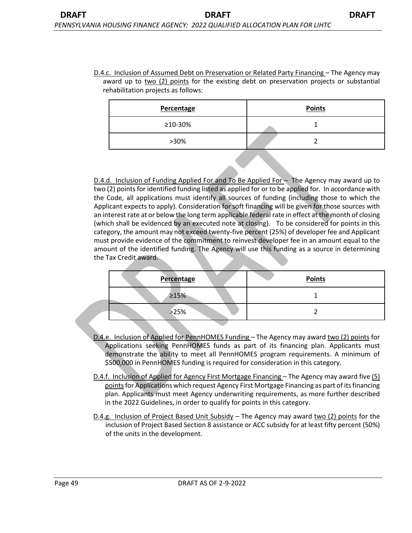D.4.c. Inclusion of Assumed Debt on Preservation or Related Party Financing – The Agency may award up to  $two$  (2) points for the existing debt on preservation projects or substantial rehabilitation projects as follows:

| Percentage | <b>Points</b> |
|------------|---------------|
| ≥10-30%    |               |
| >30%       |               |

D.4.d. Inclusion of Funding Applied For and To Be Applied For – The Agency may award up to two (2) points for identified funding listed as applied for or to be applied for. In accordance with the Code, all applications must identify all sources of funding (including those to which the Applicant expects to apply). Consideration for soft financing will be given for those sources with an interest rate at or below the long term applicable federal rate in effect at the month of closing (which shall be evidenced by an executed note at closing). To be considered for points in this category, the amount may not exceed twenty-five percent (25%) of developer fee and Applicant must provide evidence of the commitment to reinvest developer fee in an amount equal to the amount of the identified funding. The Agency will use this funding as a source in determining the Tax Credit award.

| <b>Percentage</b> | <b>Points</b> |
|-------------------|---------------|
| $\geq 15%$        |               |
| >25%              |               |

- D.4.e. Inclusion of Applied for PennHOMES Funding The Agency may award two (2) points for Applications seeking PennHOMES funds as part of its financing plan. Applicants must demonstrate the ability to meet all PennHOMES program requirements. A minimum of \$500,000 in PennHOMES funding is required for consideration in this category.
- D.4.f. Inclusion of Applied for Agency First Mortgage Financing The Agency may award five (5) points for Applications which request Agency First Mortgage Financing as part of its financing plan. Applicants must meet Agency underwriting requirements, as more further described in the 2022 Guidelines, in order to qualify for points in this category.
- D.4.g. Inclusion of Project Based Unit Subsidy The Agency may award two (2) points for the inclusion of Project Based Section 8 assistance or ACC subsidy for at least fifty percent (50%) of the units in the development.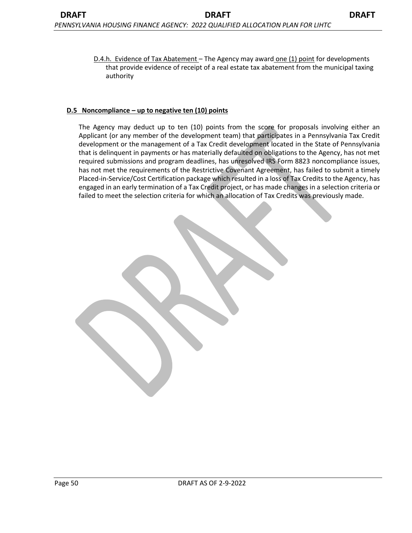D.4.h. Evidence of Tax Abatement - The Agency may award one (1) point for developments that provide evidence of receipt of a real estate tax abatement from the municipal taxing authority

#### **D.5 Noncompliance – up to negative ten (10) points**

The Agency may deduct up to ten (10) points from the score for proposals involving either an Applicant (or any member of the development team) that participates in a Pennsylvania Tax Credit development or the management of a Tax Credit development located in the State of Pennsylvania that is delinquent in payments or has materially defaulted on obligations to the Agency, has not met required submissions and program deadlines, has unresolved IRS Form 8823 noncompliance issues, has not met the requirements of the Restrictive Covenant Agreement, has failed to submit a timely Placed-in-Service/Cost Certification package which resulted in a loss of Tax Credits to the Agency, has engaged in an early termination of a Tax Credit project, or has made changes in a selection criteria or failed to meet the selection criteria for which an allocation of Tax Credits was previously made.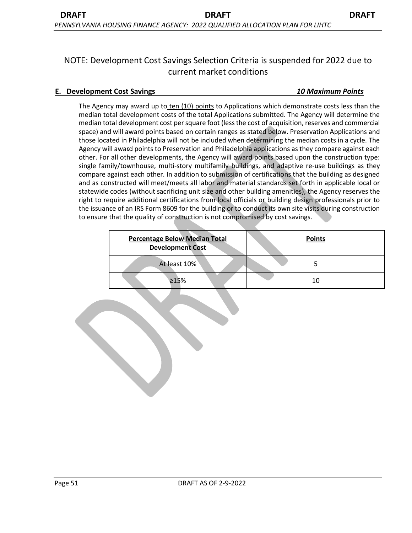# NOTE: Development Cost Savings Selection Criteria is suspended for 2022 due to current market conditions

## **E. Development Cost Savings** *10 Maximum Points*

The Agency may award up to ten (10) points to Applications which demonstrate costs less than the median total development costs of the total Applications submitted. The Agency will determine the median total development cost per square foot (less the cost of acquisition, reserves and commercial space) and will award points based on certain ranges as stated below. Preservation Applications and those located in Philadelphia will not be included when determining the median costs in a cycle. The Agency will award points to Preservation and Philadelphia applications as they compare against each other. For all other developments, the Agency will award points based upon the construction type: single family/townhouse, multi-story multifamily buildings, and adaptive re-use buildings as they compare against each other. In addition to submission of certifications that the building as designed and as constructed will meet/meets all labor and material standards set forth in applicable local or statewide codes (without sacrificing unit size and other building amenities), the Agency reserves the right to require additional certifications from local officials or building design professionals prior to the issuance of an IRS Form 8609 for the building or to conduct its own site visits during construction to ensure that the quality of construction is not compromised by cost savings.

| <b>Percentage Below Median Total</b><br><b>Development Cost</b> | <b>Points</b> |
|-----------------------------------------------------------------|---------------|
| At least 10%                                                    |               |
| >15%                                                            | 10            |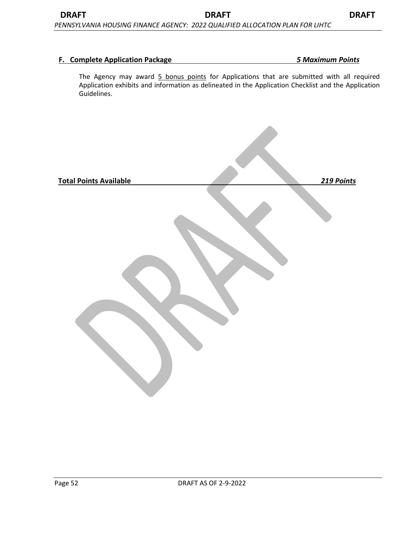### **F. Complete Application Package** *5 Maximum Points*

The Agency may award 5 bonus points for Applications that are submitted with all required Application exhibits and information as delineated in the Application Checklist and the Application Guidelines.

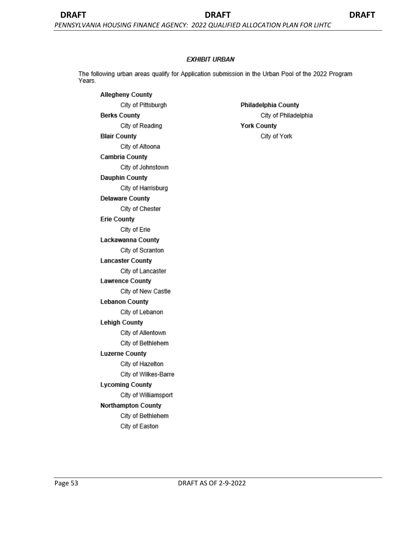#### **EXHIBIT URBAN**

The following urban areas qualify for Application submission in the Urban Pool of the 2022 Program Years.

**Allegheny County** City of Pittsburgh **Berks County** City of Reading **Blair County** City of Altoona **Cambria County** City of Johnstown **Dauphin County** City of Harrisburg **Delaware County** City of Chester **Erie County** City of Erie Lackawanna County City of Scranton **Lancaster County** City of Lancaster **Lawrence County** City of New Castle **Lebanon County** City of Lebanon **Lehigh County** City of Allentown City of Bethlehem **Luzerne County** City of Hazelton City of Wilkes-Barre **Lycoming County** City of Williamsport Northampton County City of Bethlehem City of Easton

Philadelphia County City of Philadelphia **York County** City of York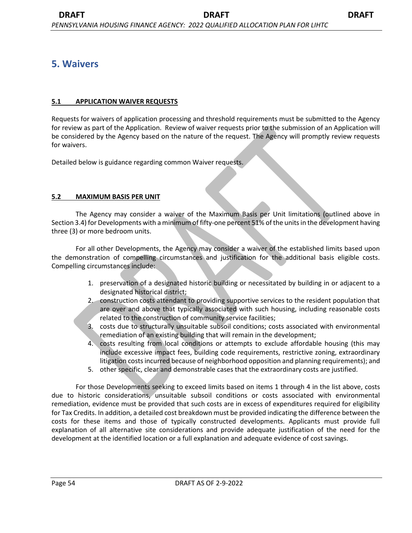# **5. Waivers**

# **5.1 APPLICATION WAIVER REQUESTS**

Requests for waivers of application processing and threshold requirements must be submitted to the Agency for review as part of the Application. Review of waiver requests prior to the submission of an Application will be considered by the Agency based on the nature of the request. The Agency will promptly review requests for waivers.

Detailed below is guidance regarding common Waiver requests.

# **5.2 MAXIMUM BASIS PER UNIT**

The Agency may consider a waiver of the Maximum Basis per Unit limitations (outlined above in Section 3.4) for Developments with a minimum of fifty-one percent 51% of the units in the development having three (3) or more bedroom units.

For all other Developments, the Agency may consider a waiver of the established limits based upon the demonstration of compelling circumstances and justification for the additional basis eligible costs. Compelling circumstances include:

- 1. preservation of a designated historic building or necessitated by building in or adjacent to a designated historical district;
- 2. construction costs attendant to providing supportive services to the resident population that are over and above that typically associated with such housing, including reasonable costs related to the construction of community service facilities;
- 3. costs due to structurally unsuitable subsoil conditions; costs associated with environmental remediation of an existing building that will remain in the development;
- 4. costs resulting from local conditions or attempts to exclude affordable housing (this may include excessive impact fees, building code requirements, restrictive zoning, extraordinary litigation costs incurred because of neighborhood opposition and planning requirements); and
- 5. other specific, clear and demonstrable cases that the extraordinary costs are justified.

For those Developments seeking to exceed limits based on items 1 through 4 in the list above, costs due to historic considerations, unsuitable subsoil conditions or costs associated with environmental remediation, evidence must be provided that such costs are in excess of expenditures required for eligibility for Tax Credits. In addition, a detailed cost breakdown must be provided indicating the difference between the costs for these items and those of typically constructed developments. Applicants must provide full explanation of all alternative site considerations and provide adequate justification of the need for the development at the identified location or a full explanation and adequate evidence of cost savings.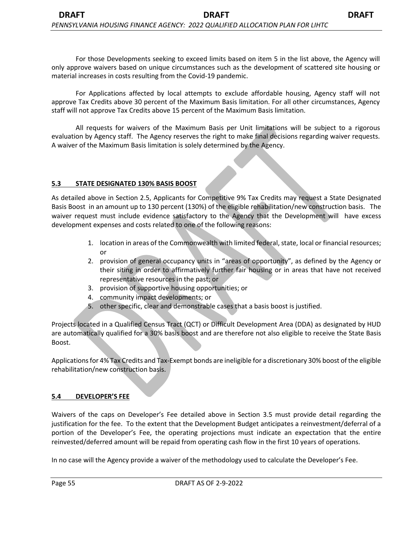For those Developments seeking to exceed limits based on item 5 in the list above, the Agency will only approve waivers based on unique circumstances such as the development of scattered site housing or material increases in costs resulting from the Covid-19 pandemic.

For Applications affected by local attempts to exclude affordable housing, Agency staff will not approve Tax Credits above 30 percent of the Maximum Basis limitation. For all other circumstances, Agency staff will not approve Tax Credits above 15 percent of the Maximum Basis limitation.

All requests for waivers of the Maximum Basis per Unit limitations will be subject to a rigorous evaluation by Agency staff. The Agency reserves the right to make final decisions regarding waiver requests. A waiver of the Maximum Basis limitation is solely determined by the Agency.

### **5.3 STATE DESIGNATED 130% BASIS BOOST**

As detailed above in Section 2.5, Applicants for Competitive 9% Tax Credits may request a State Designated Basis Boost in an amount up to 130 percent (130%) of the eligible rehabilitation/new construction basis. The waiver request must include evidence satisfactory to the Agency that the Development will have excess development expenses and costs related to one of the following reasons:

- 1. location in areas of the Commonwealth with limited federal, state, local or financial resources; or
- 2. provision of general occupancy units in "areas of opportunity", as defined by the Agency or their siting in order to affirmatively further fair housing or in areas that have not received representative resources in the past; or
- 3. provision of supportive housing opportunities; or
- 4. community impact developments; or
- 5. other specific, clear and demonstrable cases that a basis boost is justified.

Projects located in a Qualified Census Tract (QCT) or Difficult Development Area (DDA) as designated by HUD are automatically qualified for a 30% basis boost and are therefore not also eligible to receive the State Basis Boost.

Applications for 4% Tax Credits and Tax-Exempt bonds are ineligible for a discretionary 30% boost of the eligible rehabilitation/new construction basis.

#### **5.4 DEVELOPER'S FEE**

Waivers of the caps on Developer's Fee detailed above in Section 3.5 must provide detail regarding the justification for the fee. To the extent that the Development Budget anticipates a reinvestment/deferral of a portion of the Developer's Fee, the operating projections must indicate an expectation that the entire reinvested/deferred amount will be repaid from operating cash flow in the first 10 years of operations.

In no case will the Agency provide a waiver of the methodology used to calculate the Developer's Fee.